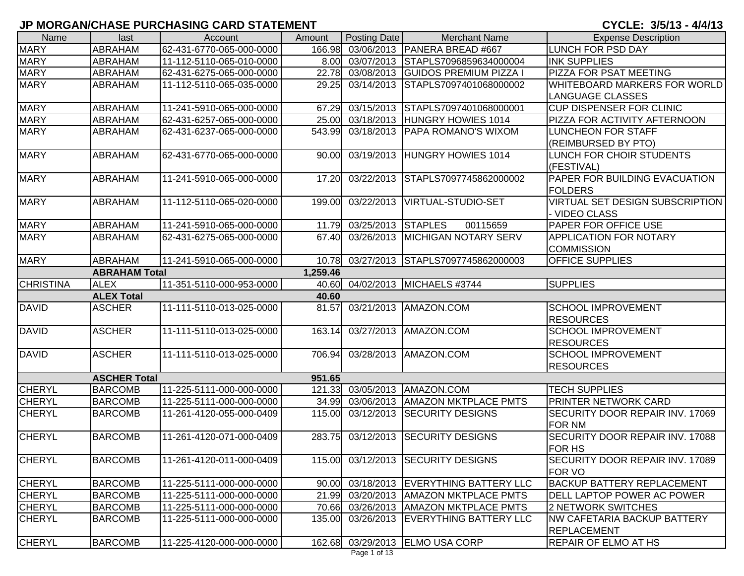| Name             | last                 | Account                  | Amount   | Posting Date            | <b>Merchant Name</b>                    | <b>Expense Description</b>             |
|------------------|----------------------|--------------------------|----------|-------------------------|-----------------------------------------|----------------------------------------|
| <b>MARY</b>      | <b>ABRAHAM</b>       | 62-431-6770-065-000-0000 | 166.98   |                         | 03/06/2013   PANERA BREAD #667          | LUNCH FOR PSD DAY                      |
| <b>MARY</b>      | ABRAHAM              | 11-112-5110-065-010-0000 | 8.00     | 03/07/2013              | STAPLS7096859634000004                  | <b>INK SUPPLIES</b>                    |
| <b>MARY</b>      | <b>ABRAHAM</b>       | 62-431-6275-065-000-0000 | 22.78    | 03/08/2013              | <b>GUIDOS PREMIUM PIZZA I</b>           | PIZZA FOR PSAT MEETING                 |
| <b>MARY</b>      | <b>ABRAHAM</b>       | 11-112-5110-065-035-0000 | 29.25    | $\overline{0}3/14/2013$ | STAPLS7097401068000002                  | <b>WHITEBOARD MARKERS FOR WORLD</b>    |
|                  |                      |                          |          |                         |                                         | LANGUAGE CLASSES                       |
| <b>MARY</b>      | ABRAHAM              | 11-241-5910-065-000-0000 | 67.29    |                         | 03/15/2013 STAPLS7097401068000001       | <b>CUP DISPENSER FOR CLINIC</b>        |
| <b>MARY</b>      | ABRAHAM              | 62-431-6257-065-000-0000 | 25.00    |                         | 03/18/2013 HUNGRY HOWIES 1014           | PIZZA FOR ACTIVITY AFTERNOON           |
| <b>MARY</b>      | ABRAHAM              | 62-431-6237-065-000-0000 | 543.99   | 03/18/2013              | <b>PAPA ROMANO'S WIXOM</b>              | <b>LUNCHEON FOR STAFF</b>              |
|                  |                      |                          |          |                         |                                         | (REIMBURSED BY PTO)                    |
| <b>MARY</b>      | ABRAHAM              | 62-431-6770-065-000-0000 | 90.00    | 03/19/2013              | <b>HUNGRY HOWIES 1014</b>               | LUNCH FOR CHOIR STUDENTS               |
|                  |                      |                          |          |                         |                                         | (FESTIVAL)                             |
| <b>MARY</b>      | <b>ABRAHAM</b>       | 11-241-5910-065-000-0000 | 17.20    | 03/22/2013              | STAPLS7097745862000002                  | PAPER FOR BUILDING EVACUATION          |
|                  |                      |                          |          |                         |                                         | <b>FOLDERS</b>                         |
| <b>MARY</b>      | <b>ABRAHAM</b>       | 11-112-5110-065-020-0000 | 199.00   | 03/22/2013              | VIRTUAL-STUDIO-SET                      | VIRTUAL SET DESIGN SUBSCRIPTION        |
|                  |                      |                          |          |                         |                                         | - VIDEO CLASS                          |
| <b>MARY</b>      | ABRAHAM              | 11-241-5910-065-000-0000 | 11.79    | 03/25/2013 STAPLES      | 00115659                                | PAPER FOR OFFICE USE                   |
| <b>MARY</b>      | <b>ABRAHAM</b>       | 62-431-6275-065-000-0000 | 67.40    |                         | 03/26/2013 MICHIGAN NOTARY SERV         | <b>APPLICATION FOR NOTARY</b>          |
|                  |                      |                          |          |                         |                                         | <b>COMMISSION</b>                      |
| <b>MARY</b>      | <b>ABRAHAM</b>       | 11-241-5910-065-000-0000 | 10.78    |                         | 03/27/2013 STAPLS7097745862000003       | <b>OFFICE SUPPLIES</b>                 |
|                  | <b>ABRAHAM Total</b> |                          | 1,259.46 |                         |                                         |                                        |
| <b>CHRISTINA</b> | <b>ALEX</b>          | 11-351-5110-000-953-0000 | 40.60    |                         | 04/02/2013 MICHAELS #3744               | <b>SUPPLIES</b>                        |
|                  | <b>ALEX Total</b>    |                          | 40.60    |                         |                                         |                                        |
| <b>DAVID</b>     | <b>ASCHER</b>        | 11-111-5110-013-025-0000 | 81.57    | 03/21/2013              | AMAZON.COM                              | <b>SCHOOL IMPROVEMENT</b>              |
|                  |                      |                          |          |                         |                                         | <b>RESOURCES</b>                       |
| <b>DAVID</b>     | <b>ASCHER</b>        | 11-111-5110-013-025-0000 | 163.14   | 03/27/2013              | AMAZON.COM                              | <b>SCHOOL IMPROVEMENT</b>              |
|                  |                      |                          |          |                         |                                         | <b>RESOURCES</b>                       |
| <b>DAVID</b>     | <b>ASCHER</b>        | 11-111-5110-013-025-0000 | 706.94   | 03/28/2013              | AMAZON.COM                              | <b>SCHOOL IMPROVEMENT</b>              |
|                  |                      |                          |          |                         |                                         | <b>RESOURCES</b>                       |
|                  | <b>ASCHER Total</b>  |                          | 951.65   |                         |                                         |                                        |
| <b>CHERYL</b>    | <b>BARCOMB</b>       | 11-225-5111-000-000-0000 | 121.33   |                         | 03/05/2013   AMAZON.COM                 | <b>TECH SUPPLIES</b>                   |
| <b>CHERYL</b>    | <b>BARCOMB</b>       | 11-225-5111-000-000-0000 | 34.99    |                         | 03/06/2013   AMAZON MKTPLACE PMTS       | <b>PRINTER NETWORK CARD</b>            |
| <b>CHERYL</b>    | <b>BARCOMB</b>       | 11-261-4120-055-000-0409 | 115.00   | 03/12/2013              | <b>SECURITY DESIGNS</b>                 | <b>SECURITY DOOR REPAIR INV. 17069</b> |
|                  |                      |                          |          |                         |                                         | <b>FOR NM</b>                          |
| <b>CHERYL</b>    | <b>BARCOMB</b>       | 11-261-4120-071-000-0409 | 283.75   | 03/12/2013              | <b>SECURITY DESIGNS</b>                 | SECURITY DOOR REPAIR INV. 17088        |
|                  |                      |                          |          |                         |                                         | <b>FOR HS</b>                          |
| <b>CHERYL</b>    | <b>BARCOMB</b>       | 11-261-4120-011-000-0409 | 115.00   |                         | 03/12/2013 SECURITY DESIGNS             | SECURITY DOOR REPAIR INV. 17089        |
|                  |                      |                          |          |                         |                                         | <b>FOR VO</b>                          |
| <b>CHERYL</b>    | <b>BARCOMB</b>       | 11-225-5111-000-000-0000 |          |                         | 90.00 03/18/2013 EVERYTHING BATTERY LLC | BACKUP BATTERY REPLACEMENT             |
| <b>CHERYL</b>    | <b>BARCOMB</b>       | 11-225-5111-000-000-0000 |          |                         | 21.99 03/20/2013   AMAZON MKTPLACE PMTS | <b>DELL LAPTOP POWER AC POWER</b>      |
| <b>CHERYL</b>    | <b>BARCOMB</b>       | 11-225-5111-000-000-0000 |          |                         | 70.66 03/26/2013   AMAZON MKTPLACE PMTS | 2 NETWORK SWITCHES                     |
| <b>CHERYL</b>    | <b>BARCOMB</b>       | 11-225-5111-000-000-0000 | 135.00   |                         | 03/26/2013  EVERYTHING BATTERY LLC      | NW CAFETARIA BACKUP BATTERY            |
|                  |                      |                          |          |                         |                                         | <b>REPLACEMENT</b>                     |
| <b>CHERYL</b>    | <b>BARCOMB</b>       | 11-225-4120-000-000-0000 | 162.68   |                         | 03/29/2013 ELMO USA CORP                | <b>REPAIR OF ELMO AT HS</b>            |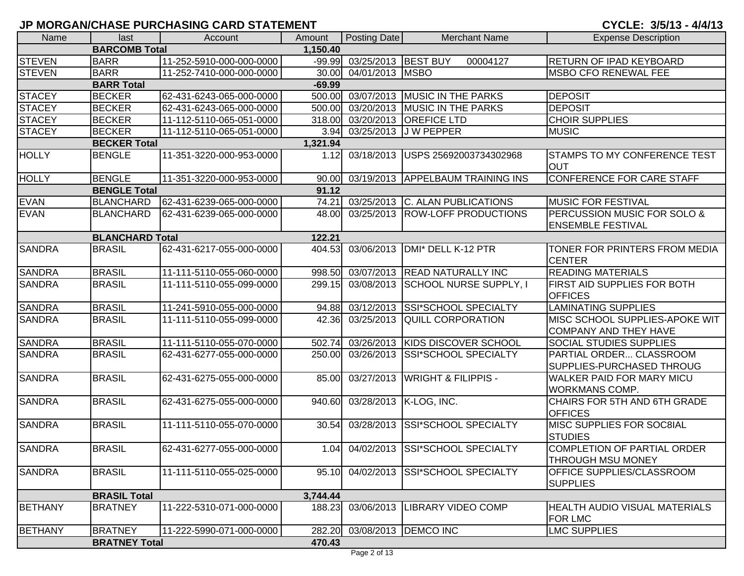| Name           | last                            | Account                  | Amount   | Posting Date            | <b>Merchant Name</b>                 | <b>Expense Description</b>                                |  |  |  |
|----------------|---------------------------------|--------------------------|----------|-------------------------|--------------------------------------|-----------------------------------------------------------|--|--|--|
|                | <b>BARCOMB Total</b>            |                          | 1,150.40 |                         |                                      |                                                           |  |  |  |
| <b>STEVEN</b>  | <b>BARR</b>                     | 11-252-5910-000-000-0000 | $-99.99$ | 03/25/2013              | <b>BEST BUY</b><br>00004127          | RETURN OF IPAD KEYBOARD                                   |  |  |  |
| <b>STEVEN</b>  | <b>BARR</b>                     | 11-252-7410-000-000-0000 | 30.00    | 04/01/2013              | <b>MSBO</b>                          | <b>MSBO CFO RENEWAL FEE</b>                               |  |  |  |
|                | <b>BARR Total</b>               |                          | $-69.99$ |                         |                                      |                                                           |  |  |  |
| <b>STACEY</b>  | <b>BECKER</b>                   | 62-431-6243-065-000-0000 | 500.00   | 03/07/2013              | <b>MUSIC IN THE PARKS</b>            | <b>DEPOSIT</b>                                            |  |  |  |
| <b>STACEY</b>  | <b>BECKER</b>                   | 62-431-6243-065-000-0000 | 500.00   | 03/20/2013              | <b>MUSIC IN THE PARKS</b>            | <b>DEPOSIT</b>                                            |  |  |  |
| <b>STACEY</b>  | <b>BECKER</b>                   | 11-112-5110-065-051-0000 | 318.00   | 03/20/2013              | <b>OREFICE LTD</b>                   | <b>CHOIR SUPPLIES</b>                                     |  |  |  |
| <b>STACEY</b>  | <b>BECKER</b>                   | 11-112-5110-065-051-0000 | 3.94     | 03/25/2013              | J W PEPPER                           | <b>MUSIC</b>                                              |  |  |  |
|                | <b>BECKER Total</b><br>1,321.94 |                          |          |                         |                                      |                                                           |  |  |  |
| <b>HOLLY</b>   | <b>BENGLE</b>                   | 11-351-3220-000-953-0000 | 1.12     | 03/18/2013              | USPS 25692003734302968               | <b>STAMPS TO MY CONFERENCE TEST</b><br><b>OUT</b>         |  |  |  |
| <b>HOLLY</b>   | <b>BENGLE</b>                   | 11-351-3220-000-953-0000 | 90.00    |                         | 03/19/2013 APPELBAUM TRAINING INS    | <b>CONFERENCE FOR CARE STAFF</b>                          |  |  |  |
|                | <b>BENGLE Total</b>             |                          | 91.12    |                         |                                      |                                                           |  |  |  |
| <b>EVAN</b>    | <b>BLANCHARD</b>                | 62-431-6239-065-000-0000 | 74.21    | 03/25/2013              | C. ALAN PUBLICATIONS                 | <b>MUSIC FOR FESTIVAL</b>                                 |  |  |  |
| <b>EVAN</b>    | <b>BLANCHARD</b>                | 62-431-6239-065-000-0000 | 48.00    | 03/25/2013              | <b>ROW-LOFF PRODUCTIONS</b>          | PERCUSSION MUSIC FOR SOLO &<br><b>ENSEMBLE FESTIVAL</b>   |  |  |  |
|                | <b>BLANCHARD Total</b>          |                          | 122.21   |                         |                                      |                                                           |  |  |  |
| <b>SANDRA</b>  | <b>BRASIL</b>                   | 62-431-6217-055-000-0000 | 404.53   | 03/06/2013              | DMI* DELL K-12 PTR                   | TONER FOR PRINTERS FROM MEDIA<br><b>CENTER</b>            |  |  |  |
| <b>SANDRA</b>  | <b>BRASIL</b>                   | 11-111-5110-055-060-0000 | 998.50   | 03/07/2013              | <b>READ NATURALLY INC</b>            | <b>READING MATERIALS</b>                                  |  |  |  |
| <b>SANDRA</b>  | <b>BRASIL</b>                   | 11-111-5110-055-099-0000 | 299.15   | 03/08/2013              | SCHOOL NURSE SUPPLY, I               | FIRST AID SUPPLIES FOR BOTH<br><b>OFFICES</b>             |  |  |  |
| <b>SANDRA</b>  | <b>BRASIL</b>                   | 11-241-5910-055-000-0000 | 94.88    | 03/12/2013              | <b>SSI*SCHOOL SPECIALTY</b>          | <b>LAMINATING SUPPLIES</b>                                |  |  |  |
| <b>SANDRA</b>  | <b>BRASIL</b>                   | 11-111-5110-055-099-0000 | 42.36    | 03/25/2013              | <b>QUILL CORPORATION</b>             | MISC SCHOOL SUPPLIES-APOKE WIT<br>COMPANY AND THEY HAVE   |  |  |  |
| <b>SANDRA</b>  | <b>BRASIL</b>                   | 11-111-5110-055-070-0000 | 502.74   | $\overline{03}/26/2013$ | <b>KIDS DISCOVER SCHOOL</b>          | SOCIAL STUDIES SUPPLIES                                   |  |  |  |
| <b>SANDRA</b>  | <b>BRASIL</b>                   | 62-431-6277-055-000-0000 | 250.00   | 03/26/2013              | <b>SSI*SCHOOL SPECIALTY</b>          | PARTIAL ORDER CLASSROOM<br>SUPPLIES-PURCHASED THROUG      |  |  |  |
| <b>SANDRA</b>  | <b>BRASIL</b>                   | 62-431-6275-055-000-0000 | 85.00    | 03/27/2013              | <b>WRIGHT &amp; FILIPPIS -</b>       | <b>WALKER PAID FOR MARY MICU</b><br><b>WORKMANS COMP.</b> |  |  |  |
| <b>SANDRA</b>  | <b>BRASIL</b>                   | 62-431-6275-055-000-0000 | 940.60   | 03/28/2013              | K-LOG, INC.                          | CHAIRS FOR 5TH AND 6TH GRADE<br><b>OFFICES</b>            |  |  |  |
| <b>SANDRA</b>  | <b>BRASIL</b>                   | 11-111-5110-055-070-0000 | 30.54    | 03/28/2013              | SSI*SCHOOL SPECIALTY                 | MISC SUPPLIES FOR SOC8IAL<br><b>STUDIES</b>               |  |  |  |
| <b>SANDRA</b>  | <b>BRASIL</b>                   | 62-431-6277-055-000-0000 |          |                         | 1.04 04/02/2013 SSI*SCHOOL SPECIALTY | COMPLETION OF PARTIAL ORDER<br>THROUGH MSU MONEY          |  |  |  |
| <b>SANDRA</b>  | <b>BRASIL</b>                   | 11-111-5110-055-025-0000 | 95.10    | 04/02/2013              | <b>SSI*SCHOOL SPECIALTY</b>          | <b>OFFICE SUPPLIES/CLASSROOM</b><br><b>SUPPLIES</b>       |  |  |  |
|                | <b>BRASIL Total</b>             |                          | 3,744.44 |                         |                                      |                                                           |  |  |  |
| <b>BETHANY</b> | <b>BRATNEY</b>                  | 11-222-5310-071-000-0000 | 188.23   | 03/06/2013              | <b>LIBRARY VIDEO COMP</b>            | <b>HEALTH AUDIO VISUAL MATERIALS</b><br>FOR LMC           |  |  |  |
| <b>BETHANY</b> | <b>BRATNEY</b>                  | 11-222-5990-071-000-0000 |          | 282.20 03/08/2013       | <b>DEMCO INC</b>                     | <b>LMC SUPPLIES</b>                                       |  |  |  |
|                | <b>BRATNEY Total</b>            |                          | 470.43   |                         |                                      |                                                           |  |  |  |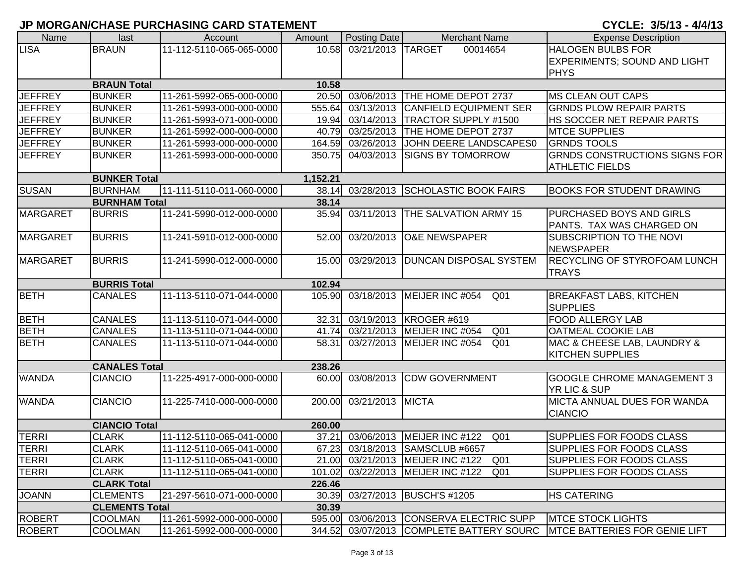CYCLE: 3/5/13 - 4/4/13

| Name            | last                            | Account                  | Amount | Posting Date      | <b>Merchant Name</b>               | <b>Expense Description</b>           |  |  |  |
|-----------------|---------------------------------|--------------------------|--------|-------------------|------------------------------------|--------------------------------------|--|--|--|
| <b>LISA</b>     | <b>BRAUN</b>                    | 11-112-5110-065-065-0000 | 10.58  | 03/21/2013 TARGET | 00014654                           | <b>HALOGEN BULBS FOR</b>             |  |  |  |
|                 |                                 |                          |        |                   |                                    | EXPERIMENTS; SOUND AND LIGHT         |  |  |  |
|                 |                                 |                          |        |                   |                                    | <b>PHYS</b>                          |  |  |  |
|                 | <b>BRAUN Total</b>              |                          | 10.58  |                   |                                    |                                      |  |  |  |
| <b>JEFFREY</b>  | <b>BUNKER</b>                   | 11-261-5992-065-000-0000 |        | 20.50 03/06/2013  | THE HOME DEPOT 2737                | <b>MS CLEAN OUT CAPS</b>             |  |  |  |
| <b>JEFFREY</b>  | <b>BUNKER</b>                   | 11-261-5993-000-000-0000 | 555.64 | 03/13/2013        | <b>CANFIELD EQUIPMENT SER</b>      | <b>GRNDS PLOW REPAIR PARTS</b>       |  |  |  |
| <b>JEFFREY</b>  | <b>BUNKER</b>                   | 11-261-5993-071-000-0000 | 19.94  | 03/14/2013        | <b>TRACTOR SUPPLY #1500</b>        | HS SOCCER NET REPAIR PARTS           |  |  |  |
| <b>JEFFREY</b>  | <b>BUNKER</b>                   | 11-261-5992-000-000-0000 | 40.79  | 03/25/2013        | THE HOME DEPOT 2737                | <b>MTCE SUPPLIES</b>                 |  |  |  |
| <b>JEFFREY</b>  | <b>BUNKER</b>                   | 11-261-5993-000-000-0000 | 164.59 | 03/26/2013        | JOHN DEERE LANDSCAPES0             | <b>GRNDS TOOLS</b>                   |  |  |  |
| <b>JEFFREY</b>  | <b>BUNKER</b>                   | 11-261-5993-000-000-0000 | 350.75 | 04/03/2013        | <b>SIGNS BY TOMORROW</b>           | <b>GRNDS CONSTRUCTIONS SIGNS FOR</b> |  |  |  |
|                 |                                 |                          |        |                   |                                    | <b>ATHLETIC FIELDS</b>               |  |  |  |
|                 | <b>BUNKER Total</b><br>1,152.21 |                          |        |                   |                                    |                                      |  |  |  |
| <b>SUSAN</b>    | <b>BURNHAM</b>                  | 11-111-5110-011-060-0000 | 38.14  | 03/28/2013        | <b>SCHOLASTIC BOOK FAIRS</b>       | <b>BOOKS FOR STUDENT DRAWING</b>     |  |  |  |
|                 | <b>BURNHAM Total</b>            |                          | 38.14  |                   |                                    |                                      |  |  |  |
| <b>MARGARET</b> | <b>BURRIS</b>                   | 11-241-5990-012-000-0000 | 35.94  | 03/11/2013        | THE SALVATION ARMY 15              | PURCHASED BOYS AND GIRLS             |  |  |  |
|                 |                                 |                          |        |                   |                                    | PANTS. TAX WAS CHARGED ON            |  |  |  |
| <b>MARGARET</b> | <b>BURRIS</b>                   | 11-241-5910-012-000-0000 | 52.00  | 03/20/2013        | <b>O&amp;E NEWSPAPER</b>           | SUBSCRIPTION TO THE NOVI             |  |  |  |
|                 |                                 |                          |        |                   |                                    | <b>NEWSPAPER</b>                     |  |  |  |
| <b>MARGARET</b> | <b>BURRIS</b>                   | 11-241-5990-012-000-0000 | 15.00  | 03/29/2013        | <b>DUNCAN DISPOSAL SYSTEM</b>      | <b>RECYCLING OF STYROFOAM LUNCH</b>  |  |  |  |
|                 |                                 |                          |        |                   |                                    | <b>TRAYS</b>                         |  |  |  |
|                 | <b>BURRIS Total</b>             |                          | 102.94 |                   |                                    |                                      |  |  |  |
| <b>BETH</b>     | <b>CANALES</b>                  | 11-113-5110-071-044-0000 | 105.90 | 03/18/2013        | MEIJER INC #054<br>Q <sub>01</sub> | <b>BREAKFAST LABS, KITCHEN</b>       |  |  |  |
|                 |                                 |                          |        |                   |                                    | <b>SUPPLIES</b>                      |  |  |  |
| <b>BETH</b>     | <b>CANALES</b>                  | 11-113-5110-071-044-0000 | 32.31  | 03/19/2013        | KROGER #619                        | FOOD ALLERGY LAB                     |  |  |  |
| <b>BETH</b>     | <b>CANALES</b>                  | 11-113-5110-071-044-0000 | 41.74  | 03/21/2013        | MEIJER INC #054<br>Q <sub>01</sub> | OATMEAL COOKIE LAB                   |  |  |  |
| <b>BETH</b>     | <b>CANALES</b>                  | 11-113-5110-071-044-0000 | 58.31  | 03/27/2013        | MEIJER INC #054<br>Q <sub>01</sub> | MAC & CHEESE LAB, LAUNDRY &          |  |  |  |
|                 |                                 |                          |        |                   |                                    | <b>KITCHEN SUPPLIES</b>              |  |  |  |
|                 | <b>CANALES Total</b>            |                          | 238.26 |                   |                                    |                                      |  |  |  |
| <b>WANDA</b>    | <b>CIANCIO</b>                  | 11-225-4917-000-000-0000 |        | 60.00 03/08/2013  | <b>CDW GOVERNMENT</b>              | <b>GOOGLE CHROME MANAGEMENT 3</b>    |  |  |  |
|                 |                                 |                          |        |                   |                                    | YR LIC & SUP                         |  |  |  |
| <b>WANDA</b>    | <b>CIANCIO</b>                  | 11-225-7410-000-000-0000 | 200.00 | 03/21/2013 MICTA  |                                    | MICTA ANNUAL DUES FOR WANDA          |  |  |  |
|                 |                                 |                          |        |                   |                                    | <b>CIANCIO</b>                       |  |  |  |
|                 | <b>CIANCIO Total</b>            |                          | 260.00 |                   |                                    |                                      |  |  |  |
| <b>TERRI</b>    | <b>CLARK</b>                    | 11-112-5110-065-041-0000 | 37.21  | 03/06/2013        | MEIJER INC #122<br>Q <sub>01</sub> | SUPPLIES FOR FOODS CLASS             |  |  |  |
| <b>TERRI</b>    | <b>CLARK</b>                    | 11-112-5110-065-041-0000 |        |                   | 67.23 03/18/2013 SAMSCLUB #6657    | <b>SUPPLIES FOR FOODS CLASS</b>      |  |  |  |
| <b>TERRI</b>    | <b>CLARK</b>                    | 11-112-5110-065-041-0000 |        | 21.00 03/21/2013  | MEIJER INC #122<br>Q <sub>01</sub> | <b>SUPPLIES FOR FOODS CLASS</b>      |  |  |  |
| <b>TERRI</b>    | <b>CLARK</b>                    | 11-112-5110-065-041-0000 | 101.02 | 03/22/2013        | MEIJER INC #122<br>Q01             | <b>SUPPLIES FOR FOODS CLASS</b>      |  |  |  |
|                 | <b>CLARK Total</b>              |                          | 226.46 |                   |                                    |                                      |  |  |  |
| <b>JOANN</b>    | <b>CLEMENTS</b>                 | 21-297-5610-071-000-0000 | 30.39  | 03/27/2013        | <b>BUSCH'S #1205</b>               | <b>HS CATERING</b>                   |  |  |  |
|                 | <b>CLEMENTS Total</b>           |                          | 30.39  |                   |                                    |                                      |  |  |  |
| <b>ROBERT</b>   | <b>COOLMAN</b>                  | 11-261-5992-000-000-0000 | 595.00 | 03/06/2013        | CONSERVA ELECTRIC SUPP             | <b>MTCE STOCK LIGHTS</b>             |  |  |  |
| <b>ROBERT</b>   | <b>COOLMAN</b>                  | 11-261-5992-000-000-0000 | 344.52 | 03/07/2013        | <b>COMPLETE BATTERY SOURC</b>      | <b>MTCE BATTERIES FOR GENIE LIFT</b> |  |  |  |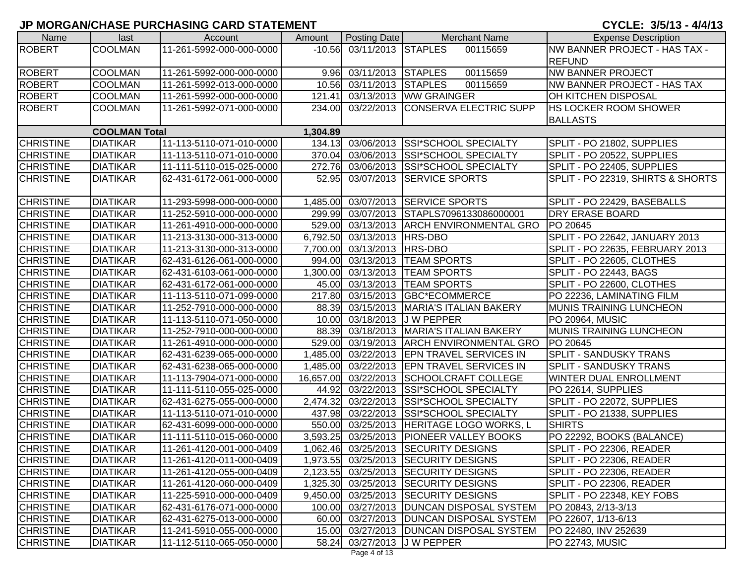CYCLE: 3/5/13 - 4/4/13

| Name             | last                 | Account                  | Amount    | Posting Date                | <b>Merchant Name</b>                       | <b>Expense Description</b>         |
|------------------|----------------------|--------------------------|-----------|-----------------------------|--------------------------------------------|------------------------------------|
| <b>ROBERT</b>    | <b>COOLMAN</b>       | 11-261-5992-000-000-0000 |           | $-10.56$ 03/11/2013 STAPLES | 00115659                                   | NW BANNER PROJECT - HAS TAX -      |
|                  |                      |                          |           |                             |                                            | <b>REFUND</b>                      |
| <b>ROBERT</b>    | <b>COOLMAN</b>       | 11-261-5992-000-000-0000 |           | 9.96 03/11/2013 STAPLES     | 00115659                                   | <b>NW BANNER PROJECT</b>           |
| <b>ROBERT</b>    | <b>COOLMAN</b>       | 11-261-5992-013-000-0000 |           | 10.56 03/11/2013 STAPLES    | 00115659                                   | <b>NW BANNER PROJECT - HAS TAX</b> |
| <b>ROBERT</b>    | <b>COOLMAN</b>       | 11-261-5992-000-000-0000 | 121.41    |                             | 03/13/2013 WW GRAINGER                     | <b>OH KITCHEN DISPOSAL</b>         |
| <b>ROBERT</b>    | <b>COOLMAN</b>       | 11-261-5992-071-000-0000 | 234.00    |                             | 03/22/2013 CONSERVA ELECTRIC SUPP          | <b>HS LOCKER ROOM SHOWER</b>       |
|                  |                      |                          |           |                             |                                            | <b>BALLASTS</b>                    |
|                  | <b>COOLMAN Total</b> |                          | 1,304.89  |                             |                                            |                                    |
| <b>CHRISTINE</b> | <b>DIATIKAR</b>      | 11-113-5110-071-010-0000 |           | 134.13 03/06/2013           | <b>SSI*SCHOOL SPECIALTY</b>                | SPLIT - PO 21802, SUPPLIES         |
| <b>CHRISTINE</b> | <b>DIATIKAR</b>      | 11-113-5110-071-010-0000 |           | 370.04 03/06/2013           | <b>SSI*SCHOOL SPECIALTY</b>                | SPLIT - PO 20522, SUPPLIES         |
| <b>CHRISTINE</b> | <b>DIATIKAR</b>      | 11-111-5110-015-025-0000 | 272.76    | 03/06/2013                  | <b>SSI*SCHOOL SPECIALTY</b>                | SPLIT - PO 22405, SUPPLIES         |
| <b>CHRISTINE</b> | <b>DIATIKAR</b>      | 62-431-6172-061-000-0000 | 52.95     | 03/07/2013                  | <b>SERVICE SPORTS</b>                      | SPLIT - PO 22319, SHIRTS & SHORTS  |
|                  |                      |                          |           |                             |                                            |                                    |
| <b>CHRISTINE</b> | <b>DIATIKAR</b>      | 11-293-5998-000-000-0000 |           |                             | 1,485.00 03/07/2013 SERVICE SPORTS         | SPLIT - PO 22429, BASEBALLS        |
| <b>CHRISTINE</b> | <b>DIATIKAR</b>      | 11-252-5910-000-000-0000 |           |                             | 299.99 03/07/2013 STAPLS7096133086000001   | <b>DRY ERASE BOARD</b>             |
| <b>CHRISTINE</b> | <b>DIATIKAR</b>      | 11-261-4910-000-000-0000 |           |                             | 529.00 03/13/2013 ARCH ENVIRONMENTAL GRO   | PO 20645                           |
| <b>CHRISTINE</b> | <b>DIATIKAR</b>      | 11-213-3130-000-313-0000 |           | 6,792.50 03/13/2013 HRS-DBO |                                            | SPLIT - PO 22642, JANUARY 2013     |
| <b>CHRISTINE</b> | <b>DIATIKAR</b>      | 11-213-3130-000-313-0000 |           | 7,700.00 03/13/2013 HRS-DBO |                                            | SPLIT - PO 22635, FEBRUARY 2013    |
| <b>CHRISTINE</b> | <b>DIATIKAR</b>      | 62-431-6126-061-000-0000 |           |                             | 994.00 03/13/2013 TEAM SPORTS              | SPLIT - PO 22605, CLOTHES          |
| <b>CHRISTINE</b> | <b>DIATIKAR</b>      | 62-431-6103-061-000-0000 |           |                             | 1,300.00 03/13/2013  TEAM SPORTS           | SPLIT - PO 22443, BAGS             |
| <b>CHRISTINE</b> | <b>DIATIKAR</b>      | 62-431-6172-061-000-0000 |           |                             | 45.00 03/13/2013 TEAM SPORTS               | SPLIT - PO 22600, CLOTHES          |
| <b>CHRISTINE</b> | <b>DIATIKAR</b>      | 11-113-5110-071-099-0000 | 217.80    | 03/15/2013                  | <b>GBC*ECOMMERCE</b>                       | PO 22236, LAMINATING FILM          |
| <b>CHRISTINE</b> | <b>DIATIKAR</b>      | 11-252-7910-000-000-0000 | 88.39     | 03/15/2013                  | MARIA'S ITALIAN BAKERY                     | MUNIS TRAINING LUNCHEON            |
| <b>CHRISTINE</b> | <b>DIATIKAR</b>      | 11-113-5110-071-050-0000 | 10.00     | 03/18/2013                  | <b>JW PEPPER</b>                           | PO 20964, MUSIC                    |
| <b>CHRISTINE</b> | <b>DIATIKAR</b>      | 11-252-7910-000-000-0000 | 88.39     | 03/18/2013                  | MARIA'S ITALIAN BAKERY                     | MUNIS TRAINING LUNCHEON            |
| <b>CHRISTINE</b> | <b>DIATIKAR</b>      | 11-261-4910-000-000-0000 | 529.00    | 03/19/2013                  | <b>ARCH ENVIRONMENTAL GRO</b>              | PO 20645                           |
| <b>CHRISTINE</b> | <b>DIATIKAR</b>      | 62-431-6239-065-000-0000 |           |                             | 1,485.00 03/22/2013 EPN TRAVEL SERVICES IN | <b>SPLIT - SANDUSKY TRANS</b>      |
| <b>CHRISTINE</b> | <b>DIATIKAR</b>      | 62-431-6238-065-000-0000 | 1,485.00  |                             | 03/22/2013 EPN TRAVEL SERVICES IN          | <b>SPLIT - SANDUSKY TRANS</b>      |
| <b>CHRISTINE</b> | <b>DIATIKAR</b>      | 11-113-7904-071-000-0000 | 16,657.00 | 03/22/2013                  | <b>SCHOOLCRAFT COLLEGE</b>                 | <b>WINTER DUAL ENROLLMENT</b>      |
| <b>CHRISTINE</b> | <b>DIATIKAR</b>      | 11-111-5110-055-025-0000 |           |                             | 44.92 03/22/2013 SSI*SCHOOL SPECIALTY      | PO 22614, SUPPLIES                 |
| <b>CHRISTINE</b> | <b>DIATIKAR</b>      | 62-431-6275-055-000-0000 | 2,474.32  |                             | 03/22/2013 SSI*SCHOOL SPECIALTY            | SPLIT - PO 22072, SUPPLIES         |
| <b>CHRISTINE</b> | <b>DIATIKAR</b>      | 11-113-5110-071-010-0000 | 437.98    | 03/22/2013                  | <b>SSI*SCHOOL SPECIALTY</b>                | SPLIT - PO 21338, SUPPLIES         |
| <b>CHRISTINE</b> | <b>DIATIKAR</b>      | 62-431-6099-000-000-0000 | 550.00    | 03/25/2013                  | <b>HERITAGE LOGO WORKS, L</b>              | <b>SHIRTS</b>                      |
| <b>CHRISTINE</b> | <b>DIATIKAR</b>      | 11-111-5110-015-060-0000 | 3,593.25  | 03/25/2013                  | <b>PIONEER VALLEY BOOKS</b>                | PO 22292, BOOKS (BALANCE)          |
| <b>CHRISTINE</b> | <b>DIATIKAR</b>      | 11-261-4120-001-000-0409 |           |                             | 1,062.46 03/25/2013 SECURITY DESIGNS       | SPLIT - PO 22306, READER           |
| <b>CHRISTINE</b> | <b>DIATIKAR</b>      | 11-261-4120-011-000-0409 |           |                             | 1,973.55 03/25/2013 SECURITY DESIGNS       | SPLIT - PO 22306, READER           |
| <b>CHRISTINE</b> | <b>DIATIKAR</b>      | 11-261-4120-055-000-0409 |           |                             | 2,123.55 03/25/2013 SECURITY DESIGNS       | SPLIT - PO 22306, READER           |
| <b>CHRISTINE</b> | <b>DIATIKAR</b>      | 11-261-4120-060-000-0409 |           |                             | 1,325.30 03/25/2013 SECURITY DESIGNS       | SPLIT - PO 22306, READER           |
| <b>CHRISTINE</b> | <b>DIATIKAR</b>      | 11-225-5910-000-000-0409 |           |                             | 9,450.00 03/25/2013 SECURITY DESIGNS       | SPLIT - PO 22348, KEY FOBS         |
| <b>CHRISTINE</b> | <b>DIATIKAR</b>      | 62-431-6176-071-000-0000 |           |                             | 100.00 03/27/2013 DUNCAN DISPOSAL SYSTEM   | PO 20843, 2/13-3/13                |
| <b>CHRISTINE</b> | <b>DIATIKAR</b>      | 62-431-6275-013-000-0000 |           |                             | 60.00 03/27/2013 DUNCAN DISPOSAL SYSTEM    | PO 22607, 1/13-6/13                |
| <b>CHRISTINE</b> | <b>DIATIKAR</b>      | 11-241-5910-055-000-0000 |           |                             | 15.00 03/27/2013   DUNCAN DISPOSAL SYSTEM  | PO 22480, INV 252639               |
| <b>CHRISTINE</b> | <b>DIATIKAR</b>      | 11-112-5110-065-050-0000 |           |                             | 58.24 03/27/2013 J W PEPPER                | PO 22743, MUSIC                    |

Page 4 of 13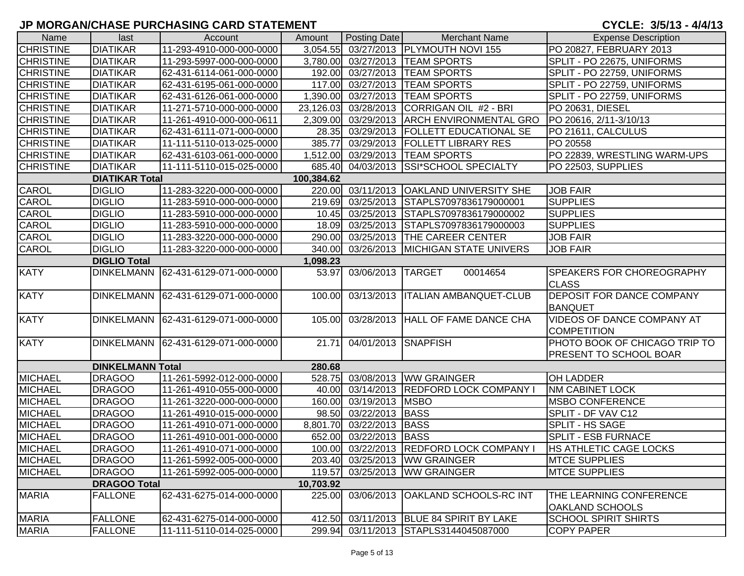| Name                                | last                    | Account                             | Amount    | Posting Date      | <b>Merchant Name</b>                     | <b>Expense Description</b>                              |  |  |  |
|-------------------------------------|-------------------------|-------------------------------------|-----------|-------------------|------------------------------------------|---------------------------------------------------------|--|--|--|
| <b>CHRISTINE</b>                    | <b>DIATIKAR</b>         | 11-293-4910-000-000-0000            | 3,054.55  |                   | 03/27/2013   PLYMOUTH NOVI 155           | PO 20827, FEBRUARY 2013                                 |  |  |  |
| <b>CHRISTINE</b>                    | <b>DIATIKAR</b>         | 11-293-5997-000-000-0000            | 3,780.00  | 03/27/2013        | <b>TEAM SPORTS</b>                       | SPLIT - PO 22675, UNIFORMS                              |  |  |  |
| <b>CHRISTINE</b>                    | <b>DIATIKAR</b>         | 62-431-6114-061-000-0000            | 192.00    |                   | 03/27/2013  TEAM SPORTS                  | SPLIT - PO 22759, UNIFORMS                              |  |  |  |
| <b>CHRISTINE</b>                    | <b>DIATIKAR</b>         | 62-431-6195-061-000-0000            | 117.00    | 03/27/2013        | <b>TEAM SPORTS</b>                       | SPLIT - PO 22759, UNIFORMS                              |  |  |  |
| <b>CHRISTINE</b>                    | <b>DIATIKAR</b>         | 62-431-6126-061-000-0000            | 1,390.00  | 03/27/2013        | <b>TEAM SPORTS</b>                       | SPLIT - PO 22759, UNIFORMS                              |  |  |  |
| <b>CHRISTINE</b>                    | <b>DIATIKAR</b>         | 11-271-5710-000-000-0000            | 23,126.03 | 03/28/2013        | CORRIGAN OIL #2 - BRI                    | PO 20631, DIESEL                                        |  |  |  |
| <b>CHRISTINE</b>                    | <b>DIATIKAR</b>         | 11-261-4910-000-000-0611            | 2,309.00  |                   | 03/29/2013 ARCH ENVIRONMENTAL GRO        | PO 20616, 2/11-3/10/13                                  |  |  |  |
| <b>CHRISTINE</b>                    | <b>DIATIKAR</b>         | 62-431-6111-071-000-0000            | 28.35     | 03/29/2013        | <b>FOLLETT EDUCATIONAL SE</b>            | PO 21611, CALCULUS                                      |  |  |  |
| <b>CHRISTINE</b>                    | <b>DIATIKAR</b>         | 11-111-5110-013-025-0000            | 385.77    | 03/29/2013        | <b>FOLLETT LIBRARY RES</b>               | PO 20558                                                |  |  |  |
| <b>CHRISTINE</b>                    | <b>DIATIKAR</b>         | 62-431-6103-061-000-0000            | 1,512.00  | 03/29/2013        | <b>TEAM SPORTS</b>                       | PO 22839, WRESTLING WARM-UPS                            |  |  |  |
| <b>CHRISTINE</b>                    | <b>DIATIKAR</b>         | 11-111-5110-015-025-0000            | 685.40    | 04/03/2013        | SSI*SCHOOL SPECIALTY                     | PO 22503, SUPPLIES                                      |  |  |  |
| <b>DIATIKAR Total</b><br>100,384.62 |                         |                                     |           |                   |                                          |                                                         |  |  |  |
| <b>CAROL</b>                        | <b>DIGLIO</b>           | 11-283-3220-000-000-0000            | 220.00    | 03/11/2013        | <b>OAKLAND UNIVERSITY SHE</b>            | <b>JOB FAIR</b>                                         |  |  |  |
| CAROL                               | <b>DIGLIO</b>           | 11-283-5910-000-000-0000            | 219.69    | 03/25/2013        | STAPLS7097836179000001                   | <b>SUPPLIES</b>                                         |  |  |  |
| CAROL                               | <b>DIGLIO</b>           | 11-283-5910-000-000-0000            | 10.45     | 03/25/2013        | STAPLS7097836179000002                   | <b>SUPPLIES</b>                                         |  |  |  |
| CAROL                               | <b>DIGLIO</b>           | 11-283-5910-000-000-0000            | 18.09     | 03/25/2013        | STAPLS7097836179000003                   | <b>SUPPLIES</b>                                         |  |  |  |
| CAROL                               | <b>DIGLIO</b>           | 11-283-3220-000-000-0000            | 290.00    | 03/25/2013        | <b>THE CAREER CENTER</b>                 | <b>JOB FAIR</b>                                         |  |  |  |
| <b>CAROL</b>                        | <b>DIGLIO</b>           | 11-283-3220-000-000-0000            | 340.00    |                   | 03/26/2013 MICHIGAN STATE UNIVERS        | <b>JOB FAIR</b>                                         |  |  |  |
|                                     | <b>DIGLIO Total</b>     |                                     | 1,098.23  |                   |                                          |                                                         |  |  |  |
| <b>KATY</b>                         |                         | DINKELMANN 62-431-6129-071-000-0000 | 53.97     | 03/06/2013        | 00014654<br><b>TARGET</b>                | <b>SPEAKERS FOR CHOREOGRAPHY</b><br><b>CLASS</b>        |  |  |  |
| <b>KATY</b>                         |                         | DINKELMANN 62-431-6129-071-000-0000 | 100.00    | 03/13/2013        | <b>ITALIAN AMBANQUET-CLUB</b>            | <b>DEPOSIT FOR DANCE COMPANY</b><br><b>BANQUET</b>      |  |  |  |
| <b>KATY</b>                         |                         | DINKELMANN 62-431-6129-071-000-0000 | 105.00    | 03/28/2013        | <b>HALL OF FAME DANCE CHA</b>            | <b>VIDEOS OF DANCE COMPANY AT</b><br><b>COMPETITION</b> |  |  |  |
| <b>KATY</b>                         |                         | DINKELMANN 62-431-6129-071-000-0000 | 21.71     | 04/01/2013        | <b>SNAPFISH</b>                          | PHOTO BOOK OF CHICAGO TRIP TO<br>PRESENT TO SCHOOL BOAR |  |  |  |
|                                     | <b>DINKELMANN Total</b> |                                     | 280.68    |                   |                                          |                                                         |  |  |  |
| <b>MICHAEL</b>                      | <b>DRAGOO</b>           | 11-261-5992-012-000-0000            |           | 528.75 03/08/2013 | <b>WW GRAINGER</b>                       | <b>OH LADDER</b>                                        |  |  |  |
| <b>MICHAEL</b>                      | <b>DRAGOO</b>           | 11-261-4910-055-000-0000            | 40.00     | 03/14/2013        | <b>REDFORD LOCK COMPANY</b>              | <b>NM CABINET LOCK</b>                                  |  |  |  |
| <b>MICHAEL</b>                      | <b>DRAGOO</b>           | 11-261-3220-000-000-0000            | 160.00    | 03/19/2013        | <b>MSBO</b>                              | <b>MSBO CONFERENCE</b>                                  |  |  |  |
| <b>MICHAEL</b>                      | <b>DRAGOO</b>           | 11-261-4910-015-000-0000            |           | 98.50 03/22/2013  | <b>BASS</b>                              | SPLIT - DF VAV C12                                      |  |  |  |
| <b>MICHAEL</b>                      | <b>DRAGOO</b>           | 11-261-4910-071-000-0000            | 8,801.70  | 03/22/2013        | <b>BASS</b>                              | SPLIT - HS SAGE                                         |  |  |  |
| <b>MICHAEL</b>                      | <b>DRAGOO</b>           | 11-261-4910-001-000-0000            |           | 652.00 03/22/2013 | <b>BASS</b>                              | <b>SPLIT - ESB FURNACE</b>                              |  |  |  |
| <b>MICHAEL</b>                      | <b>DRAGOO</b>           | 11-261-4910-071-000-0000            |           |                   | 100.00 03/22/2013 REDFORD LOCK COMPANY I | <b>HS ATHLETIC CAGE LOCKS</b>                           |  |  |  |
| <b>MICHAEL</b>                      | <b>DRAGOO</b>           | 11-261-5992-005-000-0000            |           |                   | 203.40 03/25/2013 WW GRAINGER            | <b>MTCE SUPPLIES</b>                                    |  |  |  |
| <b>MICHAEL</b>                      | <b>DRAGOO</b>           | 11-261-5992-005-000-0000            | 119.57    | 03/25/2013        | <b>WW GRAINGER</b>                       | <b>MTCE SUPPLIES</b>                                    |  |  |  |
|                                     | <b>DRAGOO Total</b>     |                                     | 10,703.92 |                   |                                          |                                                         |  |  |  |
| <b>MARIA</b>                        | <b>FALLONE</b>          | 62-431-6275-014-000-0000            | 225.00    | 03/06/2013        | OAKLAND SCHOOLS-RC INT                   | THE LEARNING CONFERENCE<br><b>OAKLAND SCHOOLS</b>       |  |  |  |
| <b>MARIA</b>                        | <b>FALLONE</b>          | 62-431-6275-014-000-0000            |           |                   | 412.50 03/11/2013 BLUE 84 SPIRIT BY LAKE | <b>SCHOOL SPIRIT SHIRTS</b>                             |  |  |  |
| <b>MARIA</b>                        | <b>FALLONE</b>          | 11-111-5110-014-025-0000            |           |                   | 299.94 03/11/2013 STAPLS3144045087000    | <b>COPY PAPER</b>                                       |  |  |  |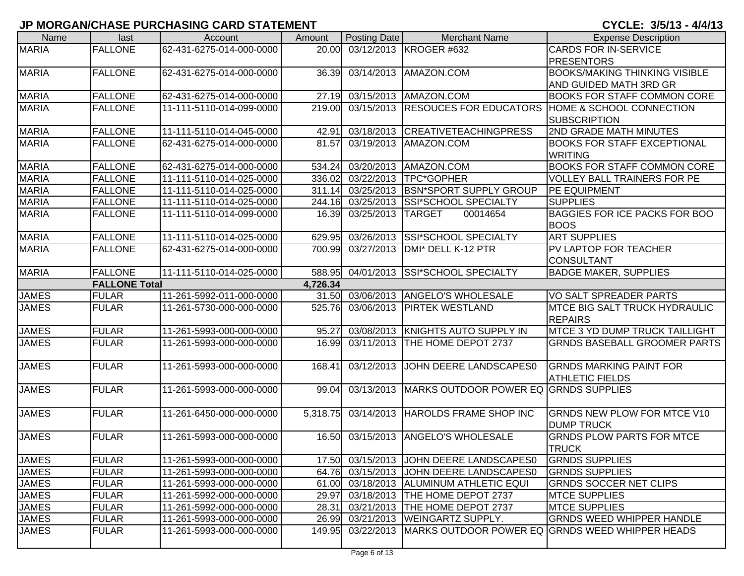| Name         | last                 | Account                  | Amount   | Posting Date | <b>Merchant Name</b>                    | <b>Expense Description</b>                      |
|--------------|----------------------|--------------------------|----------|--------------|-----------------------------------------|-------------------------------------------------|
| <b>MARIA</b> | <b>FALLONE</b>       | 62-431-6275-014-000-0000 | 20.00    |              | 03/12/2013 KROGER #632                  | <b>CARDS FOR IN-SERVICE</b>                     |
|              |                      |                          |          |              |                                         | <b>PRESENTORS</b>                               |
| <b>MARIA</b> | <b>FALLONE</b>       | 62-431-6275-014-000-0000 | 36.39    |              | 03/14/2013 AMAZON.COM                   | <b>BOOKS/MAKING THINKING VISIBLE</b>            |
|              |                      |                          |          |              |                                         | AND GUIDED MATH 3RD GR                          |
| <b>MARIA</b> | <b>FALLONE</b>       | 62-431-6275-014-000-0000 | 27.19    | 03/15/2013   | AMAZON.COM                              | <b>BOOKS FOR STAFF COMMON CORE</b>              |
| <b>MARIA</b> | <b>FALLONE</b>       | 11-111-5110-014-099-0000 | 219.00   | 03/15/2013   | <b>RESOUCES FOR EDUCATORS</b>           | HOME & SCHOOL CONNECTION                        |
|              |                      |                          |          |              |                                         | <b>SUBSCRIPTION</b>                             |
| <b>MARIA</b> | <b>FALLONE</b>       | 11-111-5110-014-045-0000 | 42.91    | 03/18/2013   | <b>CREATIVETEACHINGPRESS</b>            | 2ND GRADE MATH MINUTES                          |
| <b>MARIA</b> | <b>FALLONE</b>       | 62-431-6275-014-000-0000 | 81.57    | 03/19/2013   | AMAZON.COM                              | <b>BOOKS FOR STAFF EXCEPTIONAL</b>              |
|              |                      |                          |          |              |                                         | <b>WRITING</b>                                  |
| <b>MARIA</b> | <b>FALLONE</b>       | 62-431-6275-014-000-0000 | 534.24   | 03/20/2013   | AMAZON.COM                              | <b>BOOKS FOR STAFF COMMON CORE</b>              |
| <b>MARIA</b> | <b>FALLONE</b>       | 11-111-5110-014-025-0000 | 336.02   | 03/22/2013   | TPC*GOPHER                              | VOLLEY BALL TRAINERS FOR PE                     |
| <b>MARIA</b> | <b>FALLONE</b>       | 11-111-5110-014-025-0000 | 311.14   | 03/25/2013   | <b>BSN*SPORT SUPPLY GROUP</b>           | <b>PE EQUIPMENT</b>                             |
| <b>MARIA</b> | <b>FALLONE</b>       | 11-111-5110-014-025-0000 | 244.16   | 03/25/2013   | <b>SSI*SCHOOL SPECIALTY</b>             | <b>SUPPLIES</b>                                 |
| <b>MARIA</b> | <b>FALLONE</b>       | 11-111-5110-014-099-0000 | 16.39    | 03/25/2013   | <b>TARGET</b><br>00014654               | <b>BAGGIES FOR ICE PACKS FOR BOO</b>            |
|              |                      |                          |          |              |                                         | <b>BOOS</b>                                     |
| <b>MARIA</b> | <b>FALLONE</b>       | 11-111-5110-014-025-0000 | 629.95   | 03/26/2013   | <b>SSI*SCHOOL SPECIALTY</b>             | <b>ART SUPPLIES</b>                             |
| <b>MARIA</b> | <b>FALLONE</b>       | 62-431-6275-014-000-0000 | 700.99   | 03/27/2013   | DMI* DELL K-12 PTR                      | <b>PV LAPTOP FOR TEACHER</b>                    |
|              |                      |                          |          |              |                                         | CONSULTANT                                      |
| <b>MARIA</b> | <b>FALLONE</b>       | 11-111-5110-014-025-0000 | 588.95   | 04/01/2013   | <b>SSI*SCHOOL SPECIALTY</b>             | <b>BADGE MAKER, SUPPLIES</b>                    |
|              | <b>FALLONE Total</b> |                          | 4,726.34 |              |                                         |                                                 |
| <b>JAMES</b> | <b>FULAR</b>         | 11-261-5992-011-000-0000 |          |              | 31.50 03/06/2013 ANGELO'S WHOLESALE     | <b>VO SALT SPREADER PARTS</b>                   |
| <b>JAMES</b> | <b>FULAR</b>         | 11-261-5730-000-000-0000 | 525.76   | 03/06/2013   | <b>PIRTEK WESTLAND</b>                  | <b>IMTCE BIG SALT TRUCK HYDRAULIC</b>           |
|              |                      |                          |          |              |                                         | <b>REPAIRS</b>                                  |
| <b>JAMES</b> | <b>FULAR</b>         | 11-261-5993-000-000-0000 | 95.27    | 03/08/2013   | KNIGHTS AUTO SUPPLY IN                  | MTCE 3 YD DUMP TRUCK TAILLIGHT                  |
| <b>JAMES</b> | <b>FULAR</b>         | 11-261-5993-000-000-0000 | 16.99    | 03/11/2013   | THE HOME DEPOT 2737                     | <b>GRNDS BASEBALL GROOMER PARTS</b>             |
| <b>JAMES</b> | <b>FULAR</b>         | 11-261-5993-000-000-0000 | 168.41   | 03/12/2013   | JOHN DEERE LANDSCAPES0                  | <b>GRNDS MARKING PAINT FOR</b>                  |
|              |                      |                          |          |              |                                         | <b>ATHLETIC FIELDS</b>                          |
| <b>JAMES</b> | <b>FULAR</b>         | 11-261-5993-000-000-0000 | 99.04    | 03/13/2013   | MARKS OUTDOOR POWER EQ GRNDS SUPPLIES   |                                                 |
|              |                      |                          |          |              |                                         |                                                 |
| <b>JAMES</b> | <b>FULAR</b>         | 11-261-6450-000-000-0000 | 5,318.75 | 03/14/2013   | <b>HAROLDS FRAME SHOP INC</b>           | <b>GRNDS NEW PLOW FOR MTCE V10</b>              |
|              |                      |                          |          |              |                                         | <b>DUMP TRUCK</b>                               |
| <b>JAMES</b> | <b>FULAR</b>         | 11-261-5993-000-000-0000 | 16.50    | 03/15/2013   | <b>ANGELO'S WHOLESALE</b>               | <b>GRNDS PLOW PARTS FOR MTCE</b>                |
|              |                      |                          |          |              |                                         | <b>TRUCK</b>                                    |
| <b>JAMES</b> | <b>FULAR</b>         | 11-261-5993-000-000-0000 |          |              | 17.50 03/15/2013 JOHN DEERE LANDSCAPES0 | <b>GRNDS SUPPLIES</b>                           |
| <b>JAMES</b> | <b>FULAR</b>         | 11-261-5993-000-000-0000 |          |              | 64.76 03/15/2013 JOHN DEERE LANDSCAPES0 | <b>GRNDS SUPPLIES</b>                           |
| <b>JAMES</b> | <b>FULAR</b>         | 11-261-5993-000-000-0000 |          |              | 61.00 03/18/2013 ALUMINUM ATHLETIC EQUI | <b>GRNDS SOCCER NET CLIPS</b>                   |
| <b>JAMES</b> | <b>FULAR</b>         | 11-261-5992-000-000-0000 | 29.97    | 03/18/2013   | <b>THE HOME DEPOT 2737</b>              | <b>MTCE SUPPLIES</b>                            |
| <b>JAMES</b> | <b>FULAR</b>         | 11-261-5992-000-000-0000 | 28.31    |              | 03/21/2013  THE HOME DEPOT 2737         | <b>MTCE SUPPLIES</b>                            |
| <b>JAMES</b> | <b>FULAR</b>         | 11-261-5993-000-000-0000 | 26.99    |              | 03/21/2013   WEINGARTZ SUPPLY.          | <b>GRNDS WEED WHIPPER HANDLE</b>                |
| <b>JAMES</b> | <b>FULAR</b>         | 11-261-5993-000-000-0000 | 149.95   | 03/22/2013   |                                         | MARKS OUTDOOR POWER EQ GRNDS WEED WHIPPER HEADS |
|              |                      |                          |          |              |                                         |                                                 |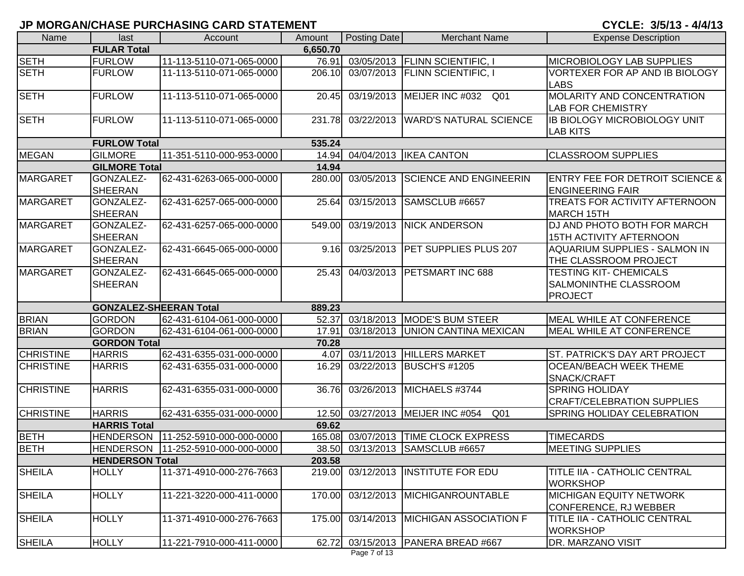| Name             | last                          | Account                  | Amount   | Posting Date | <b>Merchant Name</b>                          | <b>Expense Description</b>                      |
|------------------|-------------------------------|--------------------------|----------|--------------|-----------------------------------------------|-------------------------------------------------|
|                  | <b>FULAR Total</b>            |                          | 6,650.70 |              |                                               |                                                 |
| <b>SETH</b>      | <b>FURLOW</b>                 | 11-113-5110-071-065-0000 | 76.91    |              | 03/05/2013 FLINN SCIENTIFIC, I                | <b>MICROBIOLOGY LAB SUPPLIES</b>                |
| <b>SETH</b>      | <b>FURLOW</b>                 | 11-113-5110-071-065-0000 | 206.10   |              | 03/07/2013 FLINN SCIENTIFIC, I                | VORTEXER FOR AP AND IB BIOLOGY                  |
|                  |                               |                          |          |              |                                               | <b>LABS</b>                                     |
| <b>SETH</b>      | <b>FURLOW</b>                 | 11-113-5110-071-065-0000 | 20.45    | 03/19/2013   | MEIJER INC #032<br>Q01                        | MOLARITY AND CONCENTRATION                      |
|                  |                               |                          |          |              |                                               | LAB FOR CHEMISTRY                               |
| <b>SETH</b>      | <b>FURLOW</b>                 | 11-113-5110-071-065-0000 | 231.78   | 03/22/2013   | <b>WARD'S NATURAL SCIENCE</b>                 | <b>IB BIOLOGY MICROBIOLOGY UNIT</b>             |
|                  |                               |                          |          |              |                                               | <b>LAB KITS</b>                                 |
|                  | <b>FURLOW Total</b>           |                          | 535.24   |              |                                               |                                                 |
| <b>MEGAN</b>     | <b>GILMORE</b>                | 11-351-5110-000-953-0000 | 14.94    |              | 04/04/2013   IKEA CANTON                      | <b>CLASSROOM SUPPLIES</b>                       |
|                  | <b>GILMORE Total</b>          |                          | 14.94    |              |                                               |                                                 |
| <b>MARGARET</b>  | GONZALEZ-                     | 62-431-6263-065-000-0000 | 280.00   | 03/05/2013   | <b>SCIENCE AND ENGINEERIN</b>                 | <b>ENTRY FEE FOR DETROIT SCIENCE &amp;</b>      |
|                  | <b>SHEERAN</b>                |                          |          |              |                                               | <b>ENGINEERING FAIR</b>                         |
| <b>MARGARET</b>  | GONZALEZ-                     | 62-431-6257-065-000-0000 | 25.64    | 03/15/2013   | SAMSCLUB #6657                                | TREATS FOR ACTIVITY AFTERNOON                   |
|                  | <b>SHEERAN</b>                |                          |          |              |                                               | <b>MARCH 15TH</b>                               |
| <b>MARGARET</b>  | GONZALEZ-                     | 62-431-6257-065-000-0000 | 549.00   | 03/19/2013   | <b>NICK ANDERSON</b>                          | DJ AND PHOTO BOTH FOR MARCH                     |
|                  | <b>SHEERAN</b>                |                          |          |              |                                               | <b>15TH ACTIVITY AFTERNOON</b>                  |
| <b>MARGARET</b>  | GONZALEZ-                     | 62-431-6645-065-000-0000 | 9.16     | 03/25/2013   | <b>PET SUPPLIES PLUS 207</b>                  | AQUARIUM SUPPLIES - SALMON IN                   |
|                  | <b>SHEERAN</b>                |                          |          |              |                                               | THE CLASSROOM PROJECT                           |
| <b>MARGARET</b>  | GONZALEZ-                     | 62-431-6645-065-000-0000 | 25.43    | 04/03/2013   | <b>PETSMART INC 688</b>                       | <b>TESTING KIT- CHEMICALS</b>                   |
|                  | <b>SHEERAN</b>                |                          |          |              |                                               | SALMONINTHE CLASSROOM                           |
|                  |                               |                          |          |              |                                               | <b>PROJECT</b>                                  |
|                  | <b>GONZALEZ-SHEERAN Total</b> |                          | 889.23   |              |                                               |                                                 |
| <b>BRIAN</b>     | <b>GORDON</b>                 | 62-431-6104-061-000-0000 | 52.37    |              | 03/18/2013 MODE'S BUM STEER                   | MEAL WHILE AT CONFERENCE                        |
| <b>BRIAN</b>     | <b>GORDON</b>                 | 62-431-6104-061-000-0000 | 17.91    | 03/18/2013   | <b>UNION CANTINA MEXICAN</b>                  | <b>MEAL WHILE AT CONFERENCE</b>                 |
|                  | <b>GORDON Total</b>           |                          | 70.28    |              |                                               |                                                 |
| <b>CHRISTINE</b> | <b>HARRIS</b>                 | 62-431-6355-031-000-0000 | 4.07     | 03/11/2013   | <b>HILLERS MARKET</b>                         | ST. PATRICK'S DAY ART PROJECT                   |
| <b>CHRISTINE</b> | <b>HARRIS</b>                 | 62-431-6355-031-000-0000 | 16.29    | 03/22/2013   | <b>BUSCH'S #1205</b>                          | <b>OCEAN/BEACH WEEK THEME</b>                   |
|                  |                               |                          |          |              |                                               | SNACK/CRAFT                                     |
| <b>CHRISTINE</b> | <b>HARRIS</b>                 | 62-431-6355-031-000-0000 | 36.76    | 03/26/2013   | MICHAELS #3744                                | <b>SPRING HOLIDAY</b>                           |
|                  |                               |                          |          |              |                                               | <b>CRAFT/CELEBRATION SUPPLIES</b>               |
| <b>CHRISTINE</b> | <b>HARRIS</b>                 | 62-431-6355-031-000-0000 | 12.50    |              | 03/27/2013 MEIJER INC #054<br>Q <sub>01</sub> | SPRING HOLIDAY CELEBRATION                      |
|                  | <b>HARRIS Total</b>           |                          | 69.62    |              |                                               |                                                 |
| <b>BETH</b>      | <b>HENDERSON</b>              | 11-252-5910-000-000-0000 | 165.08   |              | 03/07/2013 TIME CLOCK EXPRESS                 | <b>TIMECARDS</b>                                |
| <b>BETH</b>      |                               |                          |          |              | 38.50 03/13/2013 SAMSCLUB #6657               | <b>MEETING SUPPLIES</b>                         |
|                  | <b>HENDERSON Total</b>        |                          | 203.58   |              |                                               |                                                 |
| <b>SHEILA</b>    | <b>HOLLY</b>                  | 11-371-4910-000-276-7663 |          |              | 219.00 03/12/2013 INSTITUTE FOR EDU           | TITLE IIA - CATHOLIC CENTRAL<br><b>WORKSHOP</b> |
| <b>SHEILA</b>    | <b>HOLLY</b>                  | 11-221-3220-000-411-0000 | 170.00   |              | 03/12/2013 MICHIGANROUNTABLE                  | <b>MICHIGAN EQUITY NETWORK</b>                  |
|                  |                               |                          |          |              |                                               | CONFERENCE, RJ WEBBER                           |
| <b>SHEILA</b>    | <b>HOLLY</b>                  | 11-371-4910-000-276-7663 |          |              | 175.00 03/14/2013 MICHIGAN ASSOCIATION F      | TITLE IIA - CATHOLIC CENTRAL                    |
|                  |                               |                          |          |              |                                               | <b>WORKSHOP</b>                                 |
| <b>SHEILA</b>    | <b>HOLLY</b>                  | 11-221-7910-000-411-0000 |          |              | 62.72 03/15/2013 PANERA BREAD #667            | DR. MARZANO VISIT                               |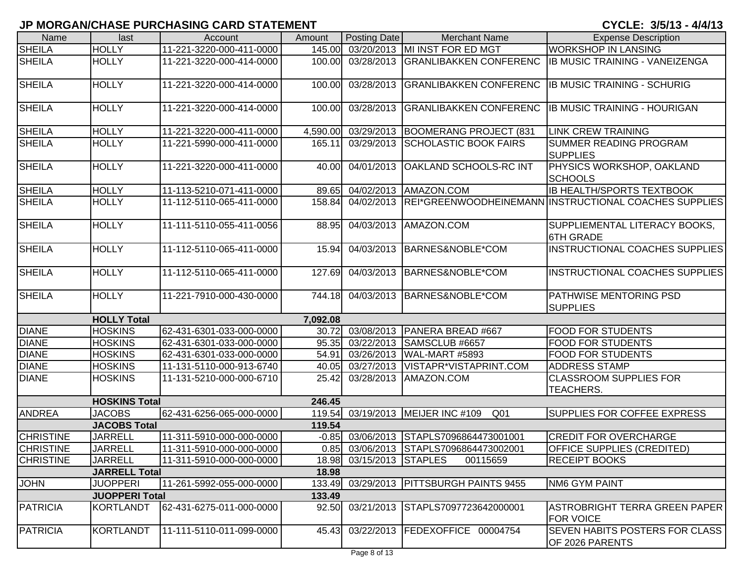| Name             | last                  | Account                  | Amount   | Posting Date             | <b>Merchant Name</b>                                 | <b>Expense Description</b>                               |
|------------------|-----------------------|--------------------------|----------|--------------------------|------------------------------------------------------|----------------------------------------------------------|
| <b>SHEILA</b>    | <b>HOLLY</b>          | 11-221-3220-000-411-0000 | 145.00   |                          | 03/20/2013 MI INST FOR ED MGT                        | <b>WORKSHOP IN LANSING</b>                               |
| <b>SHEILA</b>    | <b>HOLLY</b>          | 11-221-3220-000-414-0000 | 100.00   | 03/28/2013               | <b>GRANLIBAKKEN CONFERENC</b>                        | <b>IB MUSIC TRAINING - VANEIZENGA</b>                    |
| <b>SHEILA</b>    | <b>HOLLY</b>          | 11-221-3220-000-414-0000 | 100.00   | 03/28/2013               | <b>GRANLIBAKKEN CONFERENC</b>                        | <b>IB MUSIC TRAINING - SCHURIG</b>                       |
| <b>SHEILA</b>    | <b>HOLLY</b>          | 11-221-3220-000-414-0000 | 100.00   | 03/28/2013               | <b>GRANLIBAKKEN CONFERENC</b>                        | <b>IB MUSIC TRAINING - HOURIGAN</b>                      |
| <b>SHEILA</b>    | <b>HOLLY</b>          | 11-221-3220-000-411-0000 |          | 4,590.00 03/29/2013      | BOOMERANG PROJECT (831                               | <b>LINK CREW TRAINING</b>                                |
| <b>SHEILA</b>    | <b>HOLLY</b>          | 11-221-5990-000-411-0000 | 165.11   | 03/29/2013               | <b>SCHOLASTIC BOOK FAIRS</b>                         | <b>SUMMER READING PROGRAM</b><br><b>SUPPLIES</b>         |
| <b>SHEILA</b>    | <b>HOLLY</b>          | 11-221-3220-000-411-0000 | 40.00    | 04/01/2013               | <b>OAKLAND SCHOOLS-RC INT</b>                        | PHYSICS WORKSHOP, OAKLAND<br><b>SCHOOLS</b>              |
| <b>SHEILA</b>    | <b>HOLLY</b>          | 11-113-5210-071-411-0000 |          |                          | 89.65 04/02/2013 AMAZON.COM                          | <b>IB HEALTH/SPORTS TEXTBOOK</b>                         |
| <b>SHEILA</b>    | <b>HOLLY</b>          | 11-112-5110-065-411-0000 | 158.84   | 04/02/2013               |                                                      | REI*GREENWOODHEINEMANN INSTRUCTIONAL COACHES SUPPLIES    |
| <b>SHEILA</b>    | <b>HOLLY</b>          | 11-111-5110-055-411-0056 | 88.95    | 04/03/2013               | AMAZON.COM                                           | SUPPLIEMENTAL LITERACY BOOKS,<br><b>6TH GRADE</b>        |
| <b>SHEILA</b>    | <b>HOLLY</b>          | 11-112-5110-065-411-0000 | 15.94    | 04/03/2013               | BARNES&NOBLE*COM                                     | INSTRUCTIONAL COACHES SUPPLIES                           |
| <b>SHEILA</b>    | <b>HOLLY</b>          | 11-112-5110-065-411-0000 | 127.69   | 04/03/2013               | BARNES&NOBLE*COM                                     | INSTRUCTIONAL COACHES SUPPLIES                           |
| <b>SHEILA</b>    | <b>HOLLY</b>          | 11-221-7910-000-430-0000 | 744.18   | 04/03/2013               | BARNES&NOBLE*COM                                     | <b>PATHWISE MENTORING PSD</b><br><b>SUPPLIES</b>         |
|                  | <b>HOLLY Total</b>    |                          | 7,092.08 |                          |                                                      |                                                          |
| <b>DIANE</b>     | <b>HOSKINS</b>        | 62-431-6301-033-000-0000 | 30.72    | 03/08/2013               | PANERA BREAD #667                                    | <b>FOOD FOR STUDENTS</b>                                 |
| <b>DIANE</b>     | <b>HOSKINS</b>        | 62-431-6301-033-000-0000 | 95.35    | 03/22/2013               | SAMSCLUB #6657                                       | <b>FOOD FOR STUDENTS</b>                                 |
| <b>DIANE</b>     | <b>HOSKINS</b>        | 62-431-6301-033-000-0000 | 54.91    | 03/26/2013               | WAL-MART #5893                                       | <b>FOOD FOR STUDENTS</b>                                 |
| <b>DIANE</b>     | <b>HOSKINS</b>        | 11-131-5110-000-913-6740 | 40.05    | 03/27/2013               | VISTAPR*VISTAPRINT.COM                               | <b>ADDRESS STAMP</b>                                     |
| <b>DIANE</b>     | <b>HOSKINS</b>        | 11-131-5210-000-000-6710 | 25.42    | 03/28/2013               | AMAZON.COM                                           | <b>CLASSROOM SUPPLIES FOR</b><br><b>TEACHERS.</b>        |
|                  | <b>HOSKINS Total</b>  |                          | 246.45   |                          |                                                      |                                                          |
| <b>ANDREA</b>    | <b>JACOBS</b>         | 62-431-6256-065-000-0000 |          |                          | 119.54 03/19/2013 MEIJER INC #109<br>Q <sub>01</sub> | <b>SUPPLIES FOR COFFEE EXPRESS</b>                       |
|                  | <b>JACOBS Total</b>   |                          | 119.54   |                          |                                                      |                                                          |
| <b>CHRISTINE</b> | <b>JARRELL</b>        | 11-311-5910-000-000-0000 |          |                          | -0.85 03/06/2013 STAPLS7096864473001001              | <b>CREDIT FOR OVERCHARGE</b>                             |
| <b>CHRISTINE</b> | <b>JARRELL</b>        | 11-311-5910-000-000-0000 |          |                          | 0.85 03/06/2013 STAPLS7096864473002001               | OFFICE SUPPLIES (CREDITED)                               |
| <b>CHRISTINE</b> | <b>JARRELL</b>        | 11-311-5910-000-000-0000 |          | 18.98 03/15/2013 STAPLES | 00115659                                             | <b>RECEIPT BOOKS</b>                                     |
|                  | <b>JARRELL Total</b>  |                          | 18.98    |                          |                                                      |                                                          |
| <b>JOHN</b>      | <b>JUOPPERI</b>       | 11-261-5992-055-000-0000 | 133.49   |                          | 03/29/2013   PITTSBURGH PAINTS 9455                  | <b>NM6 GYM PAINT</b>                                     |
|                  | <b>JUOPPERI Total</b> |                          | 133.49   |                          |                                                      |                                                          |
| PATRICIA         | <b>KORTLANDT</b>      | 62-431-6275-011-000-0000 |          | 92.50 03/21/2013         | STAPLS7097723642000001                               | ASTROBRIGHT TERRA GREEN PAPER<br><b>FOR VOICE</b>        |
| <b>PATRICIA</b>  | <b>KORTLANDT</b>      | 11-111-5110-011-099-0000 | 45.43    |                          | 03/22/2013  FEDEXOFFICE 00004754                     | <b>SEVEN HABITS POSTERS FOR CLASS</b><br>OF 2026 PARENTS |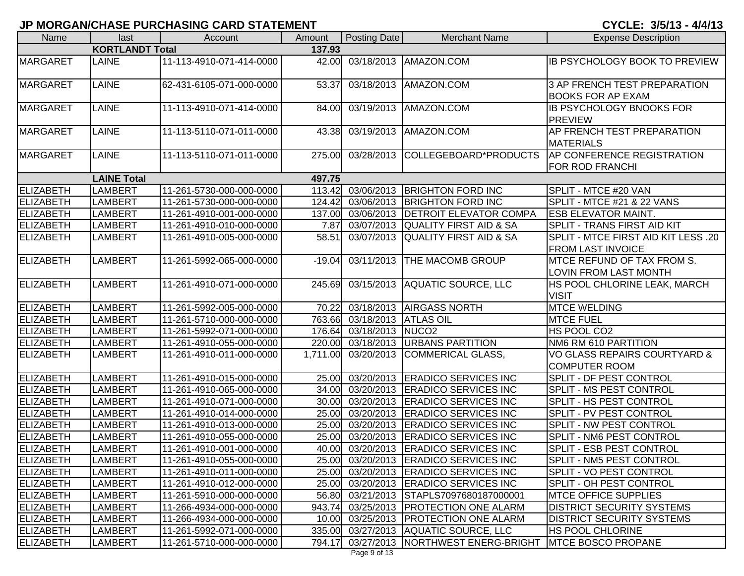CYCLE: 3/5/13 - 4/4/13

| Name             | last                   | Account                  | Amount   | Posting Date         | <b>Merchant Name</b>                    | <b>Expense Description</b>                                      |
|------------------|------------------------|--------------------------|----------|----------------------|-----------------------------------------|-----------------------------------------------------------------|
|                  | <b>KORTLANDT Total</b> |                          | 137.93   |                      |                                         |                                                                 |
| <b>MARGARET</b>  | LAINE                  | 11-113-4910-071-414-0000 | 42.00    |                      | 03/18/2013   AMAZON.COM                 | <b>IB PSYCHOLOGY BOOK TO PREVIEW</b>                            |
| <b>MARGARET</b>  | LAINE                  | 62-431-6105-071-000-0000 | 53.37    | 03/18/2013           | AMAZON.COM                              | 3 AP FRENCH TEST PREPARATION<br><b>BOOKS FOR AP EXAM</b>        |
| <b>MARGARET</b>  | <b>LAINE</b>           | 11-113-4910-071-414-0000 | 84.00    | 03/19/2013           | AMAZON.COM                              | <b>IB PSYCHOLOGY BNOOKS FOR</b><br><b>PREVIEW</b>               |
| <b>MARGARET</b>  | LAINE                  | 11-113-5110-071-011-0000 | 43.38    | 03/19/2013           | AMAZON.COM                              | AP FRENCH TEST PREPARATION<br><b>MATERIALS</b>                  |
| <b>MARGARET</b>  | <b>LAINE</b>           | 11-113-5110-071-011-0000 | 275.00   | 03/28/2013           | COLLEGEBOARD*PRODUCTS                   | <b>AP CONFERENCE REGISTRATION</b><br>FOR ROD FRANCHI            |
|                  | <b>LAINE Total</b>     |                          | 497.75   |                      |                                         |                                                                 |
| ELIZABETH        | LAMBERT                | 11-261-5730-000-000-0000 | 113.42   | 03/06/2013           | <b>BRIGHTON FORD INC</b>                | SPLIT - MTCE #20 VAN                                            |
| <b>ELIZABETH</b> | <b>LAMBERT</b>         | 11-261-5730-000-000-0000 | 124.42   | 03/06/2013           | <b>BRIGHTON FORD INC</b>                | SPLIT - MTCE #21 & 22 VANS                                      |
| <b>ELIZABETH</b> | <b>LAMBERT</b>         | 11-261-4910-001-000-0000 | 137.00   | 03/06/2013           | <b>DETROIT ELEVATOR COMPA</b>           | <b>ESB ELEVATOR MAINT.</b>                                      |
| <b>ELIZABETH</b> | <b>LAMBERT</b>         | 11-261-4910-010-000-0000 | 7.87     | 03/07/2013           | <b>QUALITY FIRST AID &amp; SA</b>       | <b>SPLIT - TRANS FIRST AID KIT</b>                              |
| <b>ELIZABETH</b> | <b>LAMBERT</b>         | 11-261-4910-005-000-0000 | 58.51    | 03/07/2013           | <b>QUALITY FIRST AID &amp; SA</b>       | SPLIT - MTCE FIRST AID KIT LESS .20<br><b>FROM LAST INVOICE</b> |
| <b>ELIZABETH</b> | <b>LAMBERT</b>         | 11-261-5992-065-000-0000 | $-19.04$ | 03/11/2013           | THE MACOMB GROUP                        | MTCE REFUND OF TAX FROM S.<br><b>LOVIN FROM LAST MONTH</b>      |
| <b>ELIZABETH</b> | <b>LAMBERT</b>         | 11-261-4910-071-000-0000 | 245.69   | 03/15/2013           | AQUATIC SOURCE, LLC                     | HS POOL CHLORINE LEAK, MARCH<br><b>VISIT</b>                    |
| <b>ELIZABETH</b> | <b>LAMBERT</b>         | 11-261-5992-005-000-0000 | 70.22    |                      | 03/18/2013 AIRGASS NORTH                | <b>MTCE WELDING</b>                                             |
| <b>ELIZABETH</b> | <b>LAMBERT</b>         | 11-261-5710-000-000-0000 | 763.66   | 03/18/2013 ATLAS OIL |                                         | <b>MTCE FUEL</b>                                                |
| <b>ELIZABETH</b> | <b>LAMBERT</b>         | 11-261-5992-071-000-0000 | 176.64   | 03/18/2013 NUCO2     |                                         | HS POOL CO2                                                     |
| ELIZABETH        | <b>LAMBERT</b>         | 11-261-4910-055-000-0000 |          |                      | 220.00 03/18/2013 URBANS PARTITION      | NM6 RM 610 PARTITION                                            |
| <b>ELIZABETH</b> | <b>LAMBERT</b>         | 11-261-4910-011-000-0000 | 1,711.00 | 03/20/2013           | COMMERICAL GLASS,                       | VO GLASS REPAIRS COURTYARD &<br><b>COMPUTER ROOM</b>            |
| <b>ELIZABETH</b> | <b>LAMBERT</b>         | 11-261-4910-015-000-0000 | 25.00    |                      | 03/20/2013 ERADICO SERVICES INC         | SPLIT - DF PEST CONTROL                                         |
| <b>ELIZABETH</b> | <b>LAMBERT</b>         | 11-261-4910-065-000-0000 | 34.00    |                      | 03/20/2013 ERADICO SERVICES INC         | SPLIT - MS PEST CONTROL                                         |
| <b>ELIZABETH</b> | <b>LAMBERT</b>         | 11-261-4910-071-000-0000 | 30.00    |                      | 03/20/2013 ERADICO SERVICES INC         | SPLIT - HS PEST CONTROL                                         |
| <b>ELIZABETH</b> | <b>LAMBERT</b>         | 11-261-4910-014-000-0000 | 25.00    | 03/20/2013           | <b>ERADICO SERVICES INC</b>             | SPLIT - PV PEST CONTROL                                         |
| <b>ELIZABETH</b> | LAMBERT                | 11-261-4910-013-000-0000 | 25.00    | 03/20/2013           | <b>ERADICO SERVICES INC</b>             | SPLIT - NW PEST CONTROL                                         |
| <b>ELIZABETH</b> | <b>LAMBERT</b>         | 11-261-4910-055-000-0000 | 25.00    | 03/20/2013           | <b>ERADICO SERVICES INC</b>             | SPLIT - NM6 PEST CONTROL                                        |
| ELIZABETH        | LAMBERT                | 11-261-4910-001-000-0000 |          |                      | 40.00 03/20/2013 ERADICO SERVICES INC   | SPLIT - ESB PEST CONTROL                                        |
| <b>ELIZABETH</b> | <b>LAMBERT</b>         | 11-261-4910-055-000-0000 | 25.00    |                      | 03/20/2013 ERADICO SERVICES INC         | <b>SPLIT - NM5 PEST CONTROL</b>                                 |
| ELIZABETH        | <b>LAMBERT</b>         | 11-261-4910-011-000-0000 |          |                      | 25.00 03/20/2013 ERADICO SERVICES INC   | <b>SPLIT - VO PEST CONTROL</b>                                  |
| ELIZABETH        | <b>LAMBERT</b>         | 11-261-4910-012-000-0000 |          |                      | 25.00 03/20/2013 ERADICO SERVICES INC   | <b>SPLIT - OH PEST CONTROL</b>                                  |
| <b>ELIZABETH</b> | <b>LAMBERT</b>         | 11-261-5910-000-000-0000 |          |                      | 56.80 03/21/2013 STAPLS7097680187000001 | <b>MTCE OFFICE SUPPLIES</b>                                     |
| <b>ELIZABETH</b> | <b>LAMBERT</b>         | 11-266-4934-000-000-0000 | 943.74   |                      | 03/25/2013 PROTECTION ONE ALARM         | <b>DISTRICT SECURITY SYSTEMS</b>                                |
| ELIZABETH        | <b>LAMBERT</b>         | 11-266-4934-000-000-0000 |          |                      | 10.00 03/25/2013 PROTECTION ONE ALARM   | <b>DISTRICT SECURITY SYSTEMS</b>                                |
| <b>ELIZABETH</b> | <b>LAMBERT</b>         | 11-261-5992-071-000-0000 |          |                      | 335.00 03/27/2013 AQUATIC SOURCE, LLC   | <b>HS POOL CHLORINE</b>                                         |
| ELIZABETH        | <b>LAMBERT</b>         | 11-261-5710-000-000-0000 | 794.17   |                      | 03/27/2013 NORTHWEST ENERG-BRIGHT       | <b>MTCE BOSCO PROPANE</b>                                       |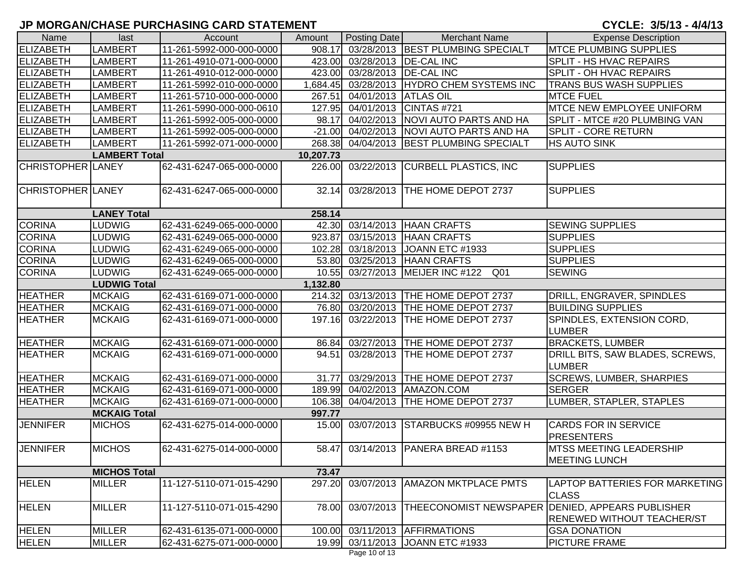| Name                            | last                 | Account                  | Amount    | Posting Date                 | <b>Merchant Name</b>                                | <b>Expense Description</b>                                                            |  |
|---------------------------------|----------------------|--------------------------|-----------|------------------------------|-----------------------------------------------------|---------------------------------------------------------------------------------------|--|
| <b>ELIZABETH</b>                | <b>LAMBERT</b>       | 11-261-5992-000-000-0000 | 908.17    |                              | 03/28/2013 BEST PLUMBING SPECIALT                   | <b>MTCE PLUMBING SUPPLIES</b>                                                         |  |
| <b>ELIZABETH</b>                | <b>LAMBERT</b>       | 11-261-4910-071-000-0000 |           | 423.00 03/28/2013 DE-CAL INC |                                                     | <b>SPLIT - HS HVAC REPAIRS</b>                                                        |  |
| <b>ELIZABETH</b>                | <b>LAMBERT</b>       | 11-261-4910-012-000-0000 | 423.00    | 03/28/2013   DE-CAL INC      |                                                     | SPLIT - OH HVAC REPAIRS                                                               |  |
| <b>ELIZABETH</b>                | <b>LAMBERT</b>       | 11-261-5992-010-000-0000 | 1,684.45  |                              | 03/28/2013 HYDRO CHEM SYSTEMS INC                   | <b>TRANS BUS WASH SUPPLIES</b>                                                        |  |
| <b>ELIZABETH</b>                | <b>LAMBERT</b>       | 11-261-5710-000-000-0000 | 267.51    | 04/01/2013 ATLAS OIL         |                                                     | <b>MTCE FUEL</b>                                                                      |  |
| <b>ELIZABETH</b>                | <b>LAMBERT</b>       | 11-261-5990-000-000-0610 | 127.95    |                              | 04/01/2013 CINTAS #721                              | <b>MTCE NEW EMPLOYEE UNIFORM</b>                                                      |  |
| <b>ELIZABETH</b>                | <b>LAMBERT</b>       | 11-261-5992-005-000-0000 | 98.17     |                              | 04/02/2013 NOVI AUTO PARTS AND HA                   | SPLIT - MTCE #20 PLUMBING VAN                                                         |  |
| <b>ELIZABETH</b>                | <b>LAMBERT</b>       | 11-261-5992-005-000-0000 |           |                              | -21.00 04/02/2013 NOVI AUTO PARTS AND HA            | <b>SPLIT - CORE RETURN</b>                                                            |  |
| <b>ELIZABETH</b>                | <b>LAMBERT</b>       | 11-261-5992-071-000-0000 |           |                              | 268.38 04/04/2013 BEST PLUMBING SPECIALT            | <b>HS AUTO SINK</b>                                                                   |  |
|                                 | <b>LAMBERT Total</b> |                          | 10,207.73 |                              |                                                     |                                                                                       |  |
| <b>CHRISTOPHER LANEY</b>        |                      | 62-431-6247-065-000-0000 | 226.00    | 03/22/2013                   | <b>CURBELL PLASTICS, INC</b>                        | <b>SUPPLIES</b>                                                                       |  |
| <b>CHRISTOPHER LANEY</b>        |                      | 62-431-6247-065-000-0000 |           | 32.14 03/28/2013             | THE HOME DEPOT 2737                                 | <b>SUPPLIES</b>                                                                       |  |
|                                 | <b>LANEY Total</b>   |                          | 258.14    |                              |                                                     |                                                                                       |  |
| <b>CORINA</b>                   | LUDWIG               | 62-431-6249-065-000-0000 |           |                              | 42.30 03/14/2013 HAAN CRAFTS                        | <b>SEWING SUPPLIES</b>                                                                |  |
| <b>CORINA</b>                   | <b>LUDWIG</b>        | 62-431-6249-065-000-0000 | 923.87    |                              | 03/15/2013 HAAN CRAFTS                              | <b>SUPPLIES</b>                                                                       |  |
| <b>CORINA</b>                   | <b>LUDWIG</b>        | 62-431-6249-065-000-0000 |           |                              | 102.28 03/18/2013 JOANN ETC #1933                   | <b>SUPPLIES</b>                                                                       |  |
| <b>CORINA</b>                   | LUDWIG               | 62-431-6249-065-000-0000 |           |                              | 53.80 03/25/2013 HAAN CRAFTS                        | <b>SUPPLIES</b>                                                                       |  |
| <b>CORINA</b>                   | <b>LUDWIG</b>        | 62-431-6249-065-000-0000 |           |                              | Q <sub>01</sub><br>10.55 03/27/2013 MEIJER INC #122 | <b>SEWING</b>                                                                         |  |
| <b>LUDWIG Total</b><br>1,132.80 |                      |                          |           |                              |                                                     |                                                                                       |  |
| <b>HEATHER</b>                  | <b>MCKAIG</b>        | 62-431-6169-071-000-0000 |           |                              | 214.32 03/13/2013 THE HOME DEPOT 2737               | DRILL, ENGRAVER, SPINDLES                                                             |  |
| <b>HEATHER</b>                  | <b>MCKAIG</b>        | 62-431-6169-071-000-0000 |           |                              | 76.80 03/20/2013 THE HOME DEPOT 2737                | <b>BUILDING SUPPLIES</b>                                                              |  |
| <b>HEATHER</b>                  | <b>MCKAIG</b>        | 62-431-6169-071-000-0000 | 197.16    | 03/22/2013                   | THE HOME DEPOT 2737                                 | SPINDLES, EXTENSION CORD,<br><b>LUMBER</b>                                            |  |
| <b>HEATHER</b>                  | <b>MCKAIG</b>        | 62-431-6169-071-000-0000 |           |                              | 86.84 03/27/2013 THE HOME DEPOT 2737                | <b>BRACKETS, LUMBER</b>                                                               |  |
| <b>HEATHER</b>                  | <b>MCKAIG</b>        | 62-431-6169-071-000-0000 | 94.51     | 03/28/2013                   | THE HOME DEPOT 2737                                 | DRILL BITS, SAW BLADES, SCREWS,<br><b>LUMBER</b>                                      |  |
| <b>HEATHER</b>                  | <b>MCKAIG</b>        | 62-431-6169-071-000-0000 | 31.77     |                              | 03/29/2013  THE HOME DEPOT 2737                     | <b>SCREWS, LUMBER, SHARPIES</b>                                                       |  |
| <b>HEATHER</b>                  | <b>MCKAIG</b>        | 62-431-6169-071-000-0000 |           |                              | 189.99 04/02/2013 AMAZON.COM                        | <b>SERGER</b>                                                                         |  |
| <b>HEATHER</b>                  | <b>MCKAIG</b>        | 62-431-6169-071-000-0000 | 106.38    |                              | 04/04/2013 THE HOME DEPOT 2737                      | LUMBER, STAPLER, STAPLES                                                              |  |
|                                 | <b>MCKAIG Total</b>  |                          | 997.77    |                              |                                                     |                                                                                       |  |
| <b>JENNIFER</b>                 | <b>MICHOS</b>        | 62-431-6275-014-000-0000 | 15.00     | 03/07/2013                   | STARBUCKS #09955 NEW H                              | <b>CARDS FOR IN SERVICE</b><br><b>PRESENTERS</b>                                      |  |
| <b>JENNIFER</b>                 | <b>MICHOS</b>        | 62-431-6275-014-000-0000 |           |                              | 58.47 03/14/2013 PANERA BREAD #1153                 | <b>IMTSS MEETING LEADERSHIP</b><br><b>MEETING LUNCH</b>                               |  |
|                                 | <b>MICHOS Total</b>  |                          | 73.47     |                              |                                                     |                                                                                       |  |
| <b>HELEN</b>                    | <b>MILLER</b>        | 11-127-5110-071-015-4290 | 297.20    | 03/07/2013                   | <b>AMAZON MKTPLACE PMTS</b>                         | LAPTOP BATTERIES FOR MARKETING<br><b>CLASS</b>                                        |  |
| <b>HELEN</b>                    | <b>MILLER</b>        | 11-127-5110-071-015-4290 | 78.00     | 03/07/2013                   |                                                     | THEECONOMIST NEWSPAPER DENIED, APPEARS PUBLISHER<br><b>RENEWED WITHOUT TEACHER/ST</b> |  |
| <b>HELEN</b>                    | <b>MILLER</b>        | 62-431-6135-071-000-0000 | 100.00    |                              | 03/11/2013 AFFIRMATIONS                             | <b>GSA DONATION</b>                                                                   |  |
| <b>HELEN</b>                    | <b>MILLER</b>        | 62-431-6275-071-000-0000 |           |                              | 19.99 03/11/2013 JOANN ETC #1933                    | <b>PICTURE FRAME</b>                                                                  |  |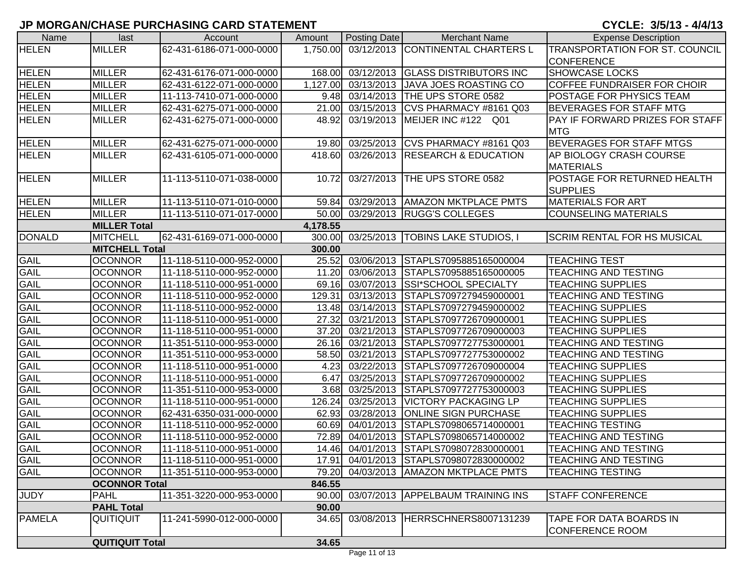| Name          | last                   | Account                  | Amount   | Posting Date            | <b>Merchant Name</b>                    | <b>Expense Description</b>         |
|---------------|------------------------|--------------------------|----------|-------------------------|-----------------------------------------|------------------------------------|
| <b>HELEN</b>  | <b>MILLER</b>          | 62-431-6186-071-000-0000 | 1,750.00 |                         | 03/12/2013 CONTINENTAL CHARTERS L       | TRANSPORTATION FOR ST. COUNCIL     |
|               |                        |                          |          |                         |                                         | <b>CONFERENCE</b>                  |
| <b>HELEN</b>  | <b>MILLER</b>          | 62-431-6176-071-000-0000 | 168.00   |                         | 03/12/2013 GLASS DISTRIBUTORS INC       | <b>SHOWCASE LOCKS</b>              |
| <b>HELEN</b>  | <b>MILLER</b>          | 62-431-6122-071-000-0000 | 1,127.00 |                         | 03/13/2013 JAVA JOES ROASTING CO        | COFFEE FUNDRAISER FOR CHOIR        |
| <b>HELEN</b>  | <b>MILLER</b>          | 11-113-7410-071-000-0000 | 9.48     | 03/14/2013              | THE UPS STORE 0582                      | POSTAGE FOR PHYSICS TEAM           |
| <b>HELEN</b>  | <b>MILLER</b>          | 62-431-6275-071-000-0000 |          |                         | 21.00 03/15/2013 CVS PHARMACY #8161 Q03 | <b>BEVERAGES FOR STAFF MTG</b>     |
| <b>HELEN</b>  | <b>MILLER</b>          | 62-431-6275-071-000-0000 | 48.92    |                         | 03/19/2013 MEIJER INC #122 Q01          | PAY IF FORWARD PRIZES FOR STAFF    |
|               |                        |                          |          |                         |                                         | <b>MTG</b>                         |
| <b>HELEN</b>  | <b>MILLER</b>          | 62-431-6275-071-000-0000 | 19.80    | 03/25/2013              | CVS PHARMACY #8161 Q03                  | <b>BEVERAGES FOR STAFF MTGS</b>    |
| <b>HELEN</b>  | <b>MILLER</b>          | 62-431-6105-071-000-0000 | 418.60   |                         | 03/26/2013 RESEARCH & EDUCATION         | AP BIOLOGY CRASH COURSE            |
|               |                        |                          |          |                         |                                         | <b>MATERIALS</b>                   |
| <b>HELEN</b>  | <b>MILLER</b>          | 11-113-5110-071-038-0000 | 10.72    | 03/27/2013              | THE UPS STORE 0582                      | POSTAGE FOR RETURNED HEALTH        |
|               |                        |                          |          |                         |                                         | <b>SUPPLIES</b>                    |
| <b>HELEN</b>  | <b>MILLER</b>          | 11-113-5110-071-010-0000 | 59.84    |                         | 03/29/2013   AMAZON MKTPLACE PMTS       | <b>MATERIALS FOR ART</b>           |
| <b>HELEN</b>  | <b>MILLER</b>          | 11-113-5110-071-017-0000 | 50.00    |                         | 03/29/2013 RUGG'S COLLEGES              | <b>COUNSELING MATERIALS</b>        |
|               | <b>MILLER Total</b>    |                          | 4,178.55 |                         |                                         |                                    |
| <b>DONALD</b> | <b>MITCHELL</b>        | 62-431-6169-071-000-0000 | 300.00   | 03/25/2013              | <b>TOBINS LAKE STUDIOS, I</b>           | <b>SCRIM RENTAL FOR HS MUSICAL</b> |
|               | <b>MITCHELL Total</b>  |                          | 300.00   |                         |                                         |                                    |
| <b>GAIL</b>   | <b>OCONNOR</b>         | 11-118-5110-000-952-0000 | 25.52    | 03/06/2013              | STAPLS7095885165000004                  | <b>TEACHING TEST</b>               |
| <b>GAIL</b>   | <b>OCONNOR</b>         | 11-118-5110-000-952-0000 | 11.20    | 03/06/2013              | STAPLS7095885165000005                  | <b>TEACHING AND TESTING</b>        |
| <b>GAIL</b>   | <b>OCONNOR</b>         | 11-118-5110-000-951-0000 |          |                         | 69.16 03/07/2013 SSI*SCHOOL SPECIALTY   | <b>TEACHING SUPPLIES</b>           |
| <b>GAIL</b>   | <b>OCONNOR</b>         | 11-118-5110-000-952-0000 | 129.31   | 03/13/2013              | STAPLS7097279459000001                  | <b>TEACHING AND TESTING</b>        |
| <b>GAIL</b>   | <b>OCONNOR</b>         | 11-118-5110-000-952-0000 | 13.48    | 03/14/2013              | STAPLS7097279459000002                  | <b>TEACHING SUPPLIES</b>           |
| <b>GAIL</b>   | <b>OCONNOR</b>         | 11-118-5110-000-951-0000 | 27.32    | 03/21/2013              | STAPLS7097726709000001                  | <b>TEACHING SUPPLIES</b>           |
| <b>GAIL</b>   | <b>OCONNOR</b>         | 11-118-5110-000-951-0000 | 37.20    | 03/21/2013              | STAPLS7097726709000003                  | <b>TEACHING SUPPLIES</b>           |
| <b>GAIL</b>   | <b>OCONNOR</b>         | 11-351-5110-000-953-0000 | 26.16    | 03/21/2013              | STAPLS7097727753000001                  | <b>TEACHING AND TESTING</b>        |
| GAIL          | <b>OCONNOR</b>         | 11-351-5110-000-953-0000 | 58.50    | 03/21/2013              | STAPLS7097727753000002                  | <b>TEACHING AND TESTING</b>        |
| GAIL          | <b>OCONNOR</b>         | 11-118-5110-000-951-0000 | 4.23     | 03/22/2013              | STAPLS7097726709000004                  | <b>TEACHING SUPPLIES</b>           |
| <b>GAIL</b>   | <b>OCONNOR</b>         | 11-118-5110-000-951-0000 | 6.47     | 03/25/2013              | STAPLS7097726709000002                  | <b>TEACHING SUPPLIES</b>           |
| <b>GAIL</b>   | <b>OCONNOR</b>         | 11-351-5110-000-953-0000 | 3.68     | 03/25/2013              | STAPLS7097727753000003                  | <b>TEACHING SUPPLIES</b>           |
| <b>GAIL</b>   | <b>OCONNOR</b>         | 11-118-5110-000-951-0000 | 126.24   | 03/25/2013              | <b>VICTORY PACKAGING LP</b>             | <b>TEACHING SUPPLIES</b>           |
| <b>GAIL</b>   | <b>OCONNOR</b>         | 62-431-6350-031-000-0000 | 62.93    | $\overline{03/28}/2013$ | <b>ONLINE SIGN PURCHASE</b>             | <b>TEACHING SUPPLIES</b>           |
| <b>GAIL</b>   | <b>OCONNOR</b>         | 11-118-5110-000-952-0000 | 60.69    | 04/01/2013              | STAPLS7098065714000001                  | <b>TEACHING TESTING</b>            |
| GAIL          | <b>OCONNOR</b>         | 11-118-5110-000-952-0000 | 72.89    | 04/01/2013              | STAPLS7098065714000002                  | <b>TEACHING AND TESTING</b>        |
| <b>GAIL</b>   | <b>OCONNOR</b>         | 11-118-5110-000-951-0000 |          |                         | 14.46 04/01/2013 STAPLS7098072830000001 | <b>TEACHING AND TESTING</b>        |
| <b>GAIL</b>   | <b>OCONNOR</b>         | 11-118-5110-000-951-0000 | 17.91    |                         | 04/01/2013 STAPLS7098072830000002       | <b>TEACHING AND TESTING</b>        |
| <b>GAIL</b>   | <b>OCONNOR</b>         | 11-351-5110-000-953-0000 | 79.20    |                         | 04/03/2013   AMAZON MKTPLACE PMTS       | <b>TEACHING TESTING</b>            |
|               | <b>OCONNOR Total</b>   |                          | 846.55   |                         |                                         |                                    |
| <b>JUDY</b>   | <b>PAHL</b>            | 11-351-3220-000-953-0000 | 90.00    |                         | 03/07/2013 APPELBAUM TRAINING INS       | <b>STAFF CONFERENCE</b>            |
|               | <b>PAHL Total</b>      |                          | 90.00    |                         |                                         |                                    |
| <b>PAMELA</b> | <b>QUITIQUIT</b>       | 11-241-5990-012-000-0000 | 34.65    |                         | 03/08/2013 HERRSCHNERS8007131239        | TAPE FOR DATA BOARDS IN            |
|               |                        |                          |          |                         |                                         | <b>CONFERENCE ROOM</b>             |
|               | <b>QUITIQUIT Total</b> |                          | 34.65    |                         |                                         |                                    |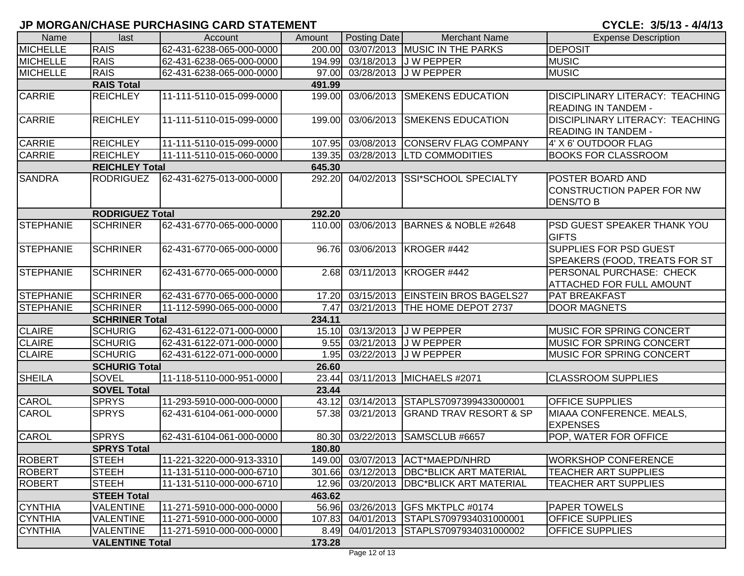| Name             | last                   | Account                  | Amount | Posting Date     | <b>Merchant Name</b>                     | <b>Expense Description</b>                                               |
|------------------|------------------------|--------------------------|--------|------------------|------------------------------------------|--------------------------------------------------------------------------|
| <b>MICHELLE</b>  | <b>RAIS</b>            | 62-431-6238-065-000-0000 | 200.00 |                  | 03/07/2013 MUSIC IN THE PARKS            | <b>DEPOSIT</b>                                                           |
| <b>MICHELLE</b>  | <b>RAIS</b>            | 62-431-6238-065-000-0000 | 194.99 | 03/18/2013       | <b>JW PEPPER</b>                         | <b>MUSIC</b>                                                             |
| <b>MICHELLE</b>  | <b>RAIS</b>            | 62-431-6238-065-000-0000 |        | 97.00 03/28/2013 | J W PEPPER                               | <b>MUSIC</b>                                                             |
|                  | <b>RAIS Total</b>      |                          | 491.99 |                  |                                          |                                                                          |
| CARRIE           | <b>REICHLEY</b>        | 11-111-5110-015-099-0000 | 199.00 | 03/06/2013       | <b>SMEKENS EDUCATION</b>                 | <b>DISCIPLINARY LITERACY: TEACHING</b><br><b>READING IN TANDEM -</b>     |
| <b>CARRIE</b>    | <b>REICHLEY</b>        | 11-111-5110-015-099-0000 | 199.00 | 03/06/2013       | <b>SMEKENS EDUCATION</b>                 | DISCIPLINARY LITERACY: TEACHING<br><b>READING IN TANDEM -</b>            |
| <b>CARRIE</b>    | <b>REICHLEY</b>        | 11-111-5110-015-099-0000 | 107.95 | 03/08/2013       | <b>CONSERV FLAG COMPANY</b>              | 4' X 6' OUTDOOR FLAG                                                     |
| <b>CARRIE</b>    | <b>REICHLEY</b>        | 11-111-5110-015-060-0000 | 139.35 |                  | 03/28/2013 LTD COMMODITIES               | <b>BOOKS FOR CLASSROOM</b>                                               |
|                  | <b>REICHLEY Total</b>  |                          | 645.30 |                  |                                          |                                                                          |
| <b>SANDRA</b>    | <b>RODRIGUEZ</b>       | 62-431-6275-013-000-0000 | 292.20 |                  | 04/02/2013 SSI*SCHOOL SPECIALTY          | POSTER BOARD AND<br><b>CONSTRUCTION PAPER FOR NW</b><br><b>DENS/TO B</b> |
|                  | <b>RODRIGUEZ Total</b> |                          | 292.20 |                  |                                          |                                                                          |
| <b>STEPHANIE</b> | <b>SCHRINER</b>        | 62-431-6770-065-000-0000 | 110.00 | 03/06/2013       | BARNES & NOBLE #2648                     | PSD GUEST SPEAKER THANK YOU<br><b>GIFTS</b>                              |
| <b>STEPHANIE</b> | <b>SCHRINER</b>        | 62-431-6770-065-000-0000 | 96.76  | 03/06/2013       | KROGER #442                              | <b>SUPPLIES FOR PSD GUEST</b><br>SPEAKERS (FOOD, TREATS FOR ST           |
| <b>STEPHANIE</b> | <b>SCHRINER</b>        | 62-431-6770-065-000-0000 | 2.68   | 03/11/2013       | KROGER #442                              | PERSONAL PURCHASE: CHECK<br><b>ATTACHED FOR FULL AMOUNT</b>              |
| STEPHANIE        | <b>SCHRINER</b>        | 62-431-6770-065-000-0000 | 17.20  | 03/15/2013       | <b>EINSTEIN BROS BAGELS27</b>            | <b>PAT BREAKFAST</b>                                                     |
| STEPHANIE        | <b>SCHRINER</b>        | 11-112-5990-065-000-0000 | 7.47   | 03/21/2013       | THE HOME DEPOT 2737                      | <b>DOOR MAGNETS</b>                                                      |
|                  | <b>SCHRINER Total</b>  |                          | 234.11 |                  |                                          |                                                                          |
| <b>CLAIRE</b>    | <b>SCHURIG</b>         | 62-431-6122-071-000-0000 | 15.10  |                  | 03/13/2013 J W PEPPER                    | <b>MUSIC FOR SPRING CONCERT</b>                                          |
| <b>CLAIRE</b>    | <b>SCHURIG</b>         | 62-431-6122-071-000-0000 | 9.55   |                  | 03/21/2013 J W PEPPER                    | <b>MUSIC FOR SPRING CONCERT</b>                                          |
| <b>CLAIRE</b>    | <b>SCHURIG</b>         | 62-431-6122-071-000-0000 | 1.95   | 03/22/2013       | <b>JW PEPPER</b>                         | MUSIC FOR SPRING CONCERT                                                 |
|                  | <b>SCHURIG Total</b>   |                          | 26.60  |                  |                                          |                                                                          |
| <b>SHEILA</b>    | <b>SOVEL</b>           | 11-118-5110-000-951-0000 | 23.44  | 03/11/2013       | MICHAELS #2071                           | <b>CLASSROOM SUPPLIES</b>                                                |
|                  | <b>SOVEL Total</b>     |                          | 23.44  |                  |                                          |                                                                          |
| CAROL            | <b>SPRYS</b>           | 11-293-5910-000-000-0000 | 43.12  | 03/14/2013       | STAPLS7097399433000001                   | <b>OFFICE SUPPLIES</b>                                                   |
| <b>CAROL</b>     | <b>SPRYS</b>           | 62-431-6104-061-000-0000 | 57.38  | 03/21/2013       | <b>GRAND TRAV RESORT &amp; SP</b>        | MIAAA CONFERENCE. MEALS,<br><b>EXPENSES</b>                              |
| <b>CAROL</b>     | <b>SPRYS</b>           | 62-431-6104-061-000-0000 |        |                  | 80.30 03/22/2013 SAMSCLUB #6657          | POP, WATER FOR OFFICE                                                    |
|                  | <b>SPRYS Total</b>     |                          | 180.80 |                  |                                          |                                                                          |
| <b>ROBERT</b>    | <b>STEEH</b>           | 11-221-3220-000-913-3310 |        |                  | 149.00 03/07/2013 ACT*MAEPD/NHRD         | <b>WORKSHOP CONFERENCE</b>                                               |
| <b>ROBERT</b>    | <b>STEEH</b>           | 11-131-5110-000-000-6710 |        |                  | 301.66 03/12/2013 DBC*BLICK ART MATERIAL | <b>TEACHER ART SUPPLIES</b>                                              |
| <b>ROBERT</b>    | <b>STEEH</b>           | 11-131-5110-000-000-6710 |        |                  | 12.96 03/20/2013 DBC*BLICK ART MATERIAL  | <b>TEACHER ART SUPPLIES</b>                                              |
|                  | <b>STEEH Total</b>     |                          | 463.62 |                  |                                          |                                                                          |
| <b>CYNTHIA</b>   | <b>VALENTINE</b>       | 11-271-5910-000-000-0000 |        | 56.96 03/26/2013 | GFS MKTPLC #0174                         | <b>PAPER TOWELS</b>                                                      |
| <b>CYNTHIA</b>   | <b>VALENTINE</b>       | 11-271-5910-000-000-0000 |        |                  | 107.83 04/01/2013 STAPLS7097934031000001 | <b>OFFICE SUPPLIES</b>                                                   |
| <b>CYNTHIA</b>   | <b>VALENTINE</b>       | 11-271-5910-000-000-0000 |        | 8.49 04/01/2013  | STAPLS7097934031000002                   | <b>OFFICE SUPPLIES</b>                                                   |
|                  | <b>VALENTINE Total</b> |                          | 173.28 |                  |                                          |                                                                          |